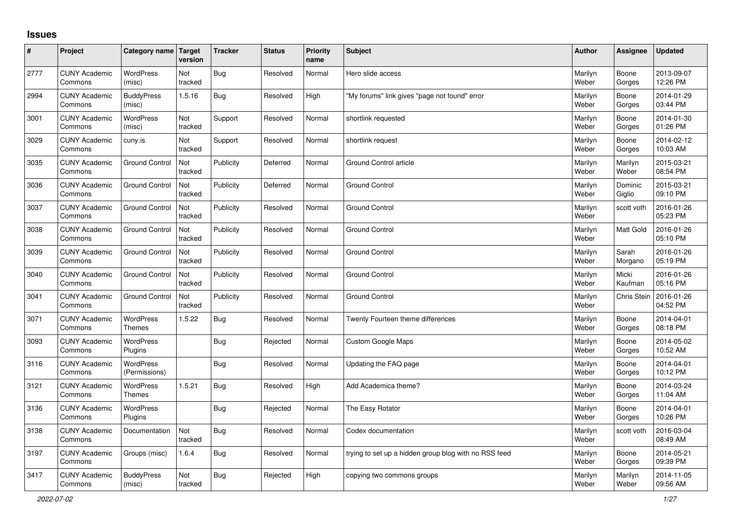## **Issues**

| #    | Project                         | Category name Target              | version        | <b>Tracker</b> | <b>Status</b> | <b>Priority</b><br>name | <b>Subject</b>                                        | <b>Author</b>    | Assignee           | <b>Updated</b>         |
|------|---------------------------------|-----------------------------------|----------------|----------------|---------------|-------------------------|-------------------------------------------------------|------------------|--------------------|------------------------|
| 2777 | <b>CUNY Academic</b><br>Commons | <b>WordPress</b><br>(misc)        | Not<br>tracked | Bug            | Resolved      | Normal                  | Hero slide access                                     | Marilyn<br>Weber | Boone<br>Gorges    | 2013-09-07<br>12:26 PM |
| 2994 | <b>CUNY Academic</b><br>Commons | <b>BuddyPress</b><br>(misc)       | 1.5.16         | Bug            | Resolved      | High                    | 'My forums" link gives "page not found" error         | Marilyn<br>Weber | Boone<br>Gorges    | 2014-01-29<br>03:44 PM |
| 3001 | <b>CUNY Academic</b><br>Commons | <b>WordPress</b><br>(misc)        | Not<br>tracked | Support        | Resolved      | Normal                  | shortlink requested                                   | Marilyn<br>Weber | Boone<br>Gorges    | 2014-01-30<br>01:26 PM |
| 3029 | <b>CUNY Academic</b><br>Commons | cuny.is                           | Not<br>tracked | Support        | Resolved      | Normal                  | shortlink request                                     | Marilyn<br>Weber | Boone<br>Gorges    | 2014-02-12<br>10:03 AM |
| 3035 | <b>CUNY Academic</b><br>Commons | <b>Ground Control</b>             | Not<br>tracked | Publicity      | Deferred      | Normal                  | Ground Control article                                | Marilyn<br>Weber | Marilyn<br>Weber   | 2015-03-21<br>08:54 PM |
| 3036 | <b>CUNY Academic</b><br>Commons | <b>Ground Control</b>             | Not<br>tracked | Publicity      | Deferred      | Normal                  | <b>Ground Control</b>                                 | Marilyn<br>Weber | Dominic<br>Giglio  | 2015-03-21<br>09:10 PM |
| 3037 | <b>CUNY Academic</b><br>Commons | <b>Ground Control</b>             | Not<br>tracked | Publicity      | Resolved      | Normal                  | Ground Control                                        | Marilyn<br>Weber | scott voth         | 2016-01-26<br>05:23 PM |
| 3038 | <b>CUNY Academic</b><br>Commons | <b>Ground Control</b>             | Not<br>tracked | Publicity      | Resolved      | Normal                  | Ground Control                                        | Marilyn<br>Weber | Matt Gold          | 2016-01-26<br>05:10 PM |
| 3039 | <b>CUNY Academic</b><br>Commons | <b>Ground Control</b>             | Not<br>tracked | Publicity      | Resolved      | Normal                  | <b>Ground Control</b>                                 | Marilyn<br>Weber | Sarah<br>Morgano   | 2016-01-26<br>05:19 PM |
| 3040 | <b>CUNY Academic</b><br>Commons | <b>Ground Control</b>             | Not<br>tracked | Publicity      | Resolved      | Normal                  | <b>Ground Control</b>                                 | Marilyn<br>Weber | Micki<br>Kaufman   | 2016-01-26<br>05:16 PM |
| 3041 | <b>CUNY Academic</b><br>Commons | <b>Ground Control</b>             | Not<br>tracked | Publicity      | Resolved      | Normal                  | Ground Control                                        | Marilyn<br>Weber | <b>Chris Stein</b> | 2016-01-26<br>04:52 PM |
| 3071 | <b>CUNY Academic</b><br>Commons | WordPress<br><b>Themes</b>        | 1.5.22         | <b>Bug</b>     | Resolved      | Normal                  | Twenty Fourteen theme differences                     | Marilyn<br>Weber | Boone<br>Gorges    | 2014-04-01<br>08:18 PM |
| 3093 | <b>CUNY Academic</b><br>Commons | <b>WordPress</b><br>Plugins       |                | Bug            | Rejected      | Normal                  | Custom Google Maps                                    | Marilyn<br>Weber | Boone<br>Gorges    | 2014-05-02<br>10:52 AM |
| 3116 | <b>CUNY Academic</b><br>Commons | <b>WordPress</b><br>(Permissions) |                | Bug            | Resolved      | Normal                  | Updating the FAQ page                                 | Marilyn<br>Weber | Boone<br>Gorges    | 2014-04-01<br>10:12 PM |
| 3121 | <b>CUNY Academic</b><br>Commons | <b>WordPress</b><br><b>Themes</b> | 1.5.21         | <b>Bug</b>     | Resolved      | High                    | Add Academica theme?                                  | Marilyn<br>Weber | Boone<br>Gorges    | 2014-03-24<br>11:04 AM |
| 3136 | <b>CUNY Academic</b><br>Commons | WordPress<br><b>Plugins</b>       |                | Bug            | Rejected      | Normal                  | The Easy Rotator                                      | Marilyn<br>Weber | Boone<br>Gorges    | 2014-04-01<br>10:26 PM |
| 3138 | <b>CUNY Academic</b><br>Commons | Documentation                     | Not<br>tracked | <b>Bug</b>     | Resolved      | Normal                  | Codex documentation                                   | Marilyn<br>Weber | scott voth         | 2016-03-04<br>08:49 AM |
| 3197 | <b>CUNY Academic</b><br>Commons | Groups (misc)                     | 1.6.4          | Bug            | Resolved      | Normal                  | trying to set up a hidden group blog with no RSS feed | Marilyn<br>Weber | Boone<br>Gorges    | 2014-05-21<br>09:39 PM |
| 3417 | <b>CUNY Academic</b><br>Commons | <b>BuddyPress</b><br>(misc)       | Not<br>tracked | Bug            | Rejected      | High                    | copying two commons groups                            | Marilyn<br>Weber | Marilyn<br>Weber   | 2014-11-05<br>09:56 AM |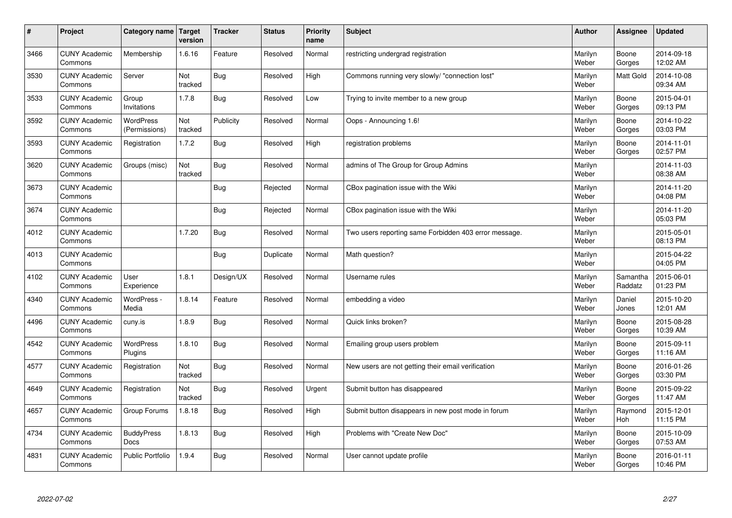| $\sharp$ | Project                         | Category name   Target            | version        | <b>Tracker</b> | <b>Status</b> | <b>Priority</b><br>name | <b>Subject</b>                                        | <b>Author</b>    | Assignee              | <b>Updated</b>         |
|----------|---------------------------------|-----------------------------------|----------------|----------------|---------------|-------------------------|-------------------------------------------------------|------------------|-----------------------|------------------------|
| 3466     | <b>CUNY Academic</b><br>Commons | Membership                        | 1.6.16         | Feature        | Resolved      | Normal                  | restricting undergrad registration                    | Marilyn<br>Weber | Boone<br>Gorges       | 2014-09-18<br>12:02 AM |
| 3530     | <b>CUNY Academic</b><br>Commons | Server                            | Not<br>tracked | Bug            | Resolved      | High                    | Commons running very slowly/ "connection lost"        | Marilyn<br>Weber | <b>Matt Gold</b>      | 2014-10-08<br>09:34 AM |
| 3533     | <b>CUNY Academic</b><br>Commons | Group<br>Invitations              | 1.7.8          | Bug            | Resolved      | Low                     | Trying to invite member to a new group                | Marilyn<br>Weber | Boone<br>Gorges       | 2015-04-01<br>09:13 PM |
| 3592     | <b>CUNY Academic</b><br>Commons | <b>WordPress</b><br>(Permissions) | Not<br>tracked | Publicity      | Resolved      | Normal                  | Oops - Announcing 1.6!                                | Marilyn<br>Weber | Boone<br>Gorges       | 2014-10-22<br>03:03 PM |
| 3593     | <b>CUNY Academic</b><br>Commons | Registration                      | 1.7.2          | Bug            | Resolved      | High                    | registration problems                                 | Marilyn<br>Weber | Boone<br>Gorges       | 2014-11-01<br>02:57 PM |
| 3620     | <b>CUNY Academic</b><br>Commons | Groups (misc)                     | Not<br>tracked | Bug            | Resolved      | Normal                  | admins of The Group for Group Admins                  | Marilyn<br>Weber |                       | 2014-11-03<br>08:38 AM |
| 3673     | <b>CUNY Academic</b><br>Commons |                                   |                | Bug            | Rejected      | Normal                  | CBox pagination issue with the Wiki                   | Marilyn<br>Weber |                       | 2014-11-20<br>04:08 PM |
| 3674     | <b>CUNY Academic</b><br>Commons |                                   |                | Bug            | Rejected      | Normal                  | CBox pagination issue with the Wiki                   | Marilyn<br>Weber |                       | 2014-11-20<br>05:03 PM |
| 4012     | <b>CUNY Academic</b><br>Commons |                                   | 1.7.20         | Bug            | Resolved      | Normal                  | Two users reporting same Forbidden 403 error message. | Marilyn<br>Weber |                       | 2015-05-01<br>08:13 PM |
| 4013     | <b>CUNY Academic</b><br>Commons |                                   |                | Bug            | Duplicate     | Normal                  | Math question?                                        | Marilyn<br>Weber |                       | 2015-04-22<br>04:05 PM |
| 4102     | <b>CUNY Academic</b><br>Commons | User<br>Experience                | 1.8.1          | Design/UX      | Resolved      | Normal                  | Username rules                                        | Marilyn<br>Weber | Samantha<br>Raddatz   | 2015-06-01<br>01:23 PM |
| 4340     | <b>CUNY Academic</b><br>Commons | WordPress -<br>Media              | 1.8.14         | Feature        | Resolved      | Normal                  | embedding a video                                     | Marilyn<br>Weber | Daniel<br>Jones       | 2015-10-20<br>12:01 AM |
| 4496     | <b>CUNY Academic</b><br>Commons | cuny.is                           | 1.8.9          | Bug            | Resolved      | Normal                  | Quick links broken?                                   | Marilyn<br>Weber | Boone<br>Gorges       | 2015-08-28<br>10:39 AM |
| 4542     | <b>CUNY Academic</b><br>Commons | WordPress<br>Plugins              | 1.8.10         | <b>Bug</b>     | Resolved      | Normal                  | Emailing group users problem                          | Marilyn<br>Weber | Boone<br>Gorges       | 2015-09-11<br>11:16 AM |
| 4577     | <b>CUNY Academic</b><br>Commons | Registration                      | Not<br>tracked | Bug            | Resolved      | Normal                  | New users are not getting their email verification    | Marilyn<br>Weber | Boone<br>Gorges       | 2016-01-26<br>03:30 PM |
| 4649     | <b>CUNY Academic</b><br>Commons | Registration                      | Not<br>tracked | Bug            | Resolved      | Urgent                  | Submit button has disappeared                         | Marilyn<br>Weber | Boone<br>Gorges       | 2015-09-22<br>11:47 AM |
| 4657     | <b>CUNY Academic</b><br>Commons | Group Forums                      | 1.8.18         | Bug            | Resolved      | High                    | Submit button disappears in new post mode in forum    | Marilyn<br>Weber | Raymond<br><b>Hoh</b> | 2015-12-01<br>11:15 PM |
| 4734     | <b>CUNY Academic</b><br>Commons | <b>BuddyPress</b><br>Docs         | 1.8.13         | <b>Bug</b>     | Resolved      | High                    | Problems with "Create New Doc"                        | Marilyn<br>Weber | Boone<br>Gorges       | 2015-10-09<br>07:53 AM |
| 4831     | <b>CUNY Academic</b><br>Commons | <b>Public Portfolio</b>           | 1.9.4          | Bug            | Resolved      | Normal                  | User cannot update profile                            | Marilyn<br>Weber | Boone<br>Gorges       | 2016-01-11<br>10:46 PM |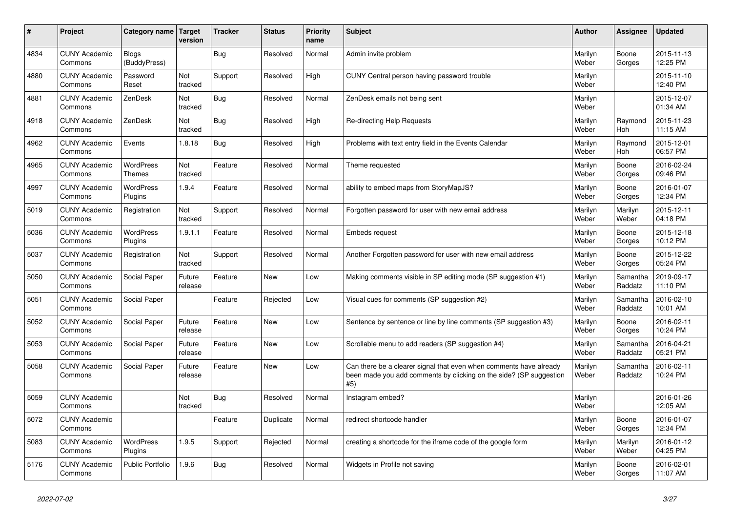| #    | Project                         | <b>Category name</b>         | <b>Target</b><br>version | <b>Tracker</b> | <b>Status</b> | <b>Priority</b><br>name | <b>Subject</b>                                                                                                                                  | Author           | Assignee            | <b>Updated</b>         |
|------|---------------------------------|------------------------------|--------------------------|----------------|---------------|-------------------------|-------------------------------------------------------------------------------------------------------------------------------------------------|------------------|---------------------|------------------------|
| 4834 | <b>CUNY Academic</b><br>Commons | <b>Blogs</b><br>(BuddyPress) |                          | <b>Bug</b>     | Resolved      | Normal                  | Admin invite problem                                                                                                                            | Marilyn<br>Weber | Boone<br>Gorges     | 2015-11-13<br>12:25 PM |
| 4880 | <b>CUNY Academic</b><br>Commons | Password<br>Reset            | Not<br>tracked           | Support        | Resolved      | High                    | CUNY Central person having password trouble                                                                                                     | Marilyn<br>Weber |                     | 2015-11-10<br>12:40 PM |
| 4881 | <b>CUNY Academic</b><br>Commons | ZenDesk                      | Not<br>tracked           | <b>Bug</b>     | Resolved      | Normal                  | ZenDesk emails not being sent                                                                                                                   | Marilyn<br>Weber |                     | 2015-12-07<br>01:34 AM |
| 4918 | <b>CUNY Academic</b><br>Commons | ZenDesk                      | Not<br>tracked           | <b>Bug</b>     | Resolved      | High                    | <b>Re-directing Help Requests</b>                                                                                                               | Marilyn<br>Weber | Raymond<br>Hoh      | 2015-11-23<br>11:15 AM |
| 4962 | <b>CUNY Academic</b><br>Commons | Events                       | 1.8.18                   | <b>Bug</b>     | Resolved      | High                    | Problems with text entry field in the Events Calendar                                                                                           | Marilyn<br>Weber | Raymond<br>Hoh      | 2015-12-01<br>06:57 PM |
| 4965 | <b>CUNY Academic</b><br>Commons | WordPress<br>Themes          | Not<br>tracked           | Feature        | Resolved      | Normal                  | Theme requested                                                                                                                                 | Marilyn<br>Weber | Boone<br>Gorges     | 2016-02-24<br>09:46 PM |
| 4997 | <b>CUNY Academic</b><br>Commons | <b>WordPress</b><br>Plugins  | 1.9.4                    | Feature        | Resolved      | Normal                  | ability to embed maps from StoryMapJS?                                                                                                          | Marilyn<br>Weber | Boone<br>Gorges     | 2016-01-07<br>12:34 PM |
| 5019 | <b>CUNY Academic</b><br>Commons | Registration                 | Not<br>tracked           | Support        | Resolved      | Normal                  | Forgotten password for user with new email address                                                                                              | Marilyn<br>Weber | Marilyn<br>Weber    | 2015-12-11<br>04:18 PM |
| 5036 | <b>CUNY Academic</b><br>Commons | WordPress<br>Plugins         | 1.9.1.1                  | Feature        | Resolved      | Normal                  | Embeds request                                                                                                                                  | Marilyn<br>Weber | Boone<br>Gorges     | 2015-12-18<br>10:12 PM |
| 5037 | <b>CUNY Academic</b><br>Commons | Registration                 | Not<br>tracked           | Support        | Resolved      | Normal                  | Another Forgotten password for user with new email address                                                                                      | Marilyn<br>Weber | Boone<br>Gorges     | 2015-12-22<br>05:24 PM |
| 5050 | <b>CUNY Academic</b><br>Commons | Social Paper                 | Future<br>release        | Feature        | <b>New</b>    | Low                     | Making comments visible in SP editing mode (SP suggestion #1)                                                                                   | Marilyn<br>Weber | Samantha<br>Raddatz | 2019-09-17<br>11:10 PM |
| 5051 | <b>CUNY Academic</b><br>Commons | Social Paper                 |                          | Feature        | Rejected      | Low                     | Visual cues for comments (SP suggestion #2)                                                                                                     | Marilyn<br>Weber | Samantha<br>Raddatz | 2016-02-10<br>10:01 AM |
| 5052 | <b>CUNY Academic</b><br>Commons | Social Paper                 | Future<br>release        | Feature        | <b>New</b>    | Low                     | Sentence by sentence or line by line comments (SP suggestion #3)                                                                                | Marilyn<br>Weber | Boone<br>Gorges     | 2016-02-11<br>10:24 PM |
| 5053 | <b>CUNY Academic</b><br>Commons | Social Paper                 | Future<br>release        | Feature        | <b>New</b>    | Low                     | Scrollable menu to add readers (SP suggestion #4)                                                                                               | Marilyn<br>Weber | Samantha<br>Raddatz | 2016-04-21<br>05:21 PM |
| 5058 | <b>CUNY Academic</b><br>Commons | Social Paper                 | Future<br>release        | Feature        | <b>New</b>    | Low                     | Can there be a clearer signal that even when comments have already<br>been made you add comments by clicking on the side? (SP suggestion<br>#5) | Marilyn<br>Weber | Samantha<br>Raddatz | 2016-02-11<br>10:24 PM |
| 5059 | <b>CUNY Academic</b><br>Commons |                              | Not<br>tracked           | <b>Bug</b>     | Resolved      | Normal                  | Instagram embed?                                                                                                                                | Marilyn<br>Weber |                     | 2016-01-26<br>12:05 AM |
| 5072 | <b>CUNY Academic</b><br>Commons |                              |                          | Feature        | Duplicate     | Normal                  | redirect shortcode handler                                                                                                                      | Marilyn<br>Weber | Boone<br>Gorges     | 2016-01-07<br>12:34 PM |
| 5083 | <b>CUNY Academic</b><br>Commons | WordPress<br>Plugins         | 1.9.5                    | Support        | Rejected      | Normal                  | creating a shortcode for the iframe code of the google form                                                                                     | Marilyn<br>Weber | Marilyn<br>Weber    | 2016-01-12<br>04:25 PM |
| 5176 | <b>CUNY Academic</b><br>Commons | Public Portfolio             | 1.9.6                    | <b>Bug</b>     | Resolved      | Normal                  | Widgets in Profile not saving                                                                                                                   | Marilyn<br>Weber | Boone<br>Gorges     | 2016-02-01<br>11:07 AM |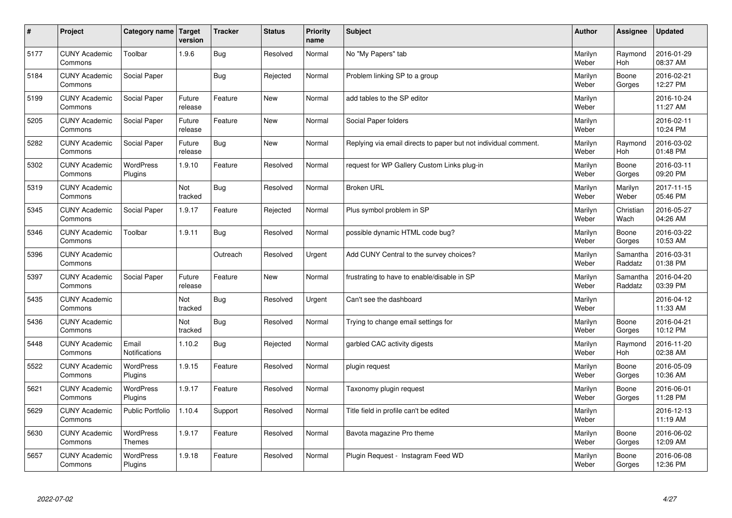| $\sharp$ | Project                         | Category name   Target      | version           | <b>Tracker</b> | <b>Status</b> | <b>Priority</b><br>name | <b>Subject</b>                                                  | <b>Author</b>    | Assignee              | <b>Updated</b>         |
|----------|---------------------------------|-----------------------------|-------------------|----------------|---------------|-------------------------|-----------------------------------------------------------------|------------------|-----------------------|------------------------|
| 5177     | <b>CUNY Academic</b><br>Commons | Toolbar                     | 1.9.6             | Bug            | Resolved      | Normal                  | No "My Papers" tab                                              | Marilyn<br>Weber | Raymond<br>Hoh        | 2016-01-29<br>08:37 AM |
| 5184     | <b>CUNY Academic</b><br>Commons | Social Paper                |                   | Bug            | Rejected      | Normal                  | Problem linking SP to a group                                   | Marilyn<br>Weber | Boone<br>Gorges       | 2016-02-21<br>12:27 PM |
| 5199     | <b>CUNY Academic</b><br>Commons | Social Paper                | Future<br>release | Feature        | New           | Normal                  | add tables to the SP editor                                     | Marilyn<br>Weber |                       | 2016-10-24<br>11:27 AM |
| 5205     | <b>CUNY Academic</b><br>Commons | Social Paper                | Future<br>release | Feature        | <b>New</b>    | Normal                  | Social Paper folders                                            | Marilyn<br>Weber |                       | 2016-02-11<br>10:24 PM |
| 5282     | <b>CUNY Academic</b><br>Commons | Social Paper                | Future<br>release | Bug            | <b>New</b>    | Normal                  | Replying via email directs to paper but not individual comment. | Marilyn<br>Weber | Raymond<br>Hoh        | 2016-03-02<br>01:48 PM |
| 5302     | <b>CUNY Academic</b><br>Commons | WordPress<br>Plugins        | 1.9.10            | Feature        | Resolved      | Normal                  | request for WP Gallery Custom Links plug-in                     | Marilyn<br>Weber | Boone<br>Gorges       | 2016-03-11<br>09:20 PM |
| 5319     | <b>CUNY Academic</b><br>Commons |                             | Not<br>tracked    | <b>Bug</b>     | Resolved      | Normal                  | <b>Broken URL</b>                                               | Marilyn<br>Weber | Marilyn<br>Weber      | 2017-11-15<br>05:46 PM |
| 5345     | <b>CUNY Academic</b><br>Commons | Social Paper                | 1.9.17            | Feature        | Rejected      | Normal                  | Plus symbol problem in SP                                       | Marilyn<br>Weber | Christian<br>Wach     | 2016-05-27<br>04:26 AM |
| 5346     | <b>CUNY Academic</b><br>Commons | Toolbar                     | 1.9.11            | Bug            | Resolved      | Normal                  | possible dynamic HTML code bug?                                 | Marilyn<br>Weber | Boone<br>Gorges       | 2016-03-22<br>10:53 AM |
| 5396     | <b>CUNY Academic</b><br>Commons |                             |                   | Outreach       | Resolved      | Urgent                  | Add CUNY Central to the survey choices?                         | Marilyn<br>Weber | Samantha<br>Raddatz   | 2016-03-31<br>01:38 PM |
| 5397     | <b>CUNY Academic</b><br>Commons | Social Paper                | Future<br>release | Feature        | New           | Normal                  | frustrating to have to enable/disable in SP                     | Marilyn<br>Weber | Samantha<br>Raddatz   | 2016-04-20<br>03:39 PM |
| 5435     | <b>CUNY Academic</b><br>Commons |                             | Not<br>tracked    | <b>Bug</b>     | Resolved      | Urgent                  | Can't see the dashboard                                         | Marilyn<br>Weber |                       | 2016-04-12<br>11:33 AM |
| 5436     | <b>CUNY Academic</b><br>Commons |                             | Not<br>tracked    | Bug            | Resolved      | Normal                  | Trying to change email settings for                             | Marilyn<br>Weber | Boone<br>Gorges       | 2016-04-21<br>10:12 PM |
| 5448     | <b>CUNY Academic</b><br>Commons | Email<br>Notifications      | 1.10.2            | Bug            | Rejected      | Normal                  | garbled CAC activity digests                                    | Marilyn<br>Weber | Raymond<br><b>Hoh</b> | 2016-11-20<br>02:38 AM |
| 5522     | <b>CUNY Academic</b><br>Commons | <b>WordPress</b><br>Plugins | 1.9.15            | Feature        | Resolved      | Normal                  | plugin request                                                  | Marilyn<br>Weber | Boone<br>Gorges       | 2016-05-09<br>10:36 AM |
| 5621     | <b>CUNY Academic</b><br>Commons | WordPress<br>Plugins        | 1.9.17            | Feature        | Resolved      | Normal                  | Taxonomy plugin request                                         | Marilyn<br>Weber | Boone<br>Gorges       | 2016-06-01<br>11:28 PM |
| 5629     | <b>CUNY Academic</b><br>Commons | Public Portfolio            | 1.10.4            | Support        | Resolved      | Normal                  | Title field in profile can't be edited                          | Marilyn<br>Weber |                       | 2016-12-13<br>11:19 AM |
| 5630     | <b>CUNY Academic</b><br>Commons | WordPress<br><b>Themes</b>  | 1.9.17            | Feature        | Resolved      | Normal                  | Bavota magazine Pro theme                                       | Marilyn<br>Weber | Boone<br>Gorges       | 2016-06-02<br>12:09 AM |
| 5657     | <b>CUNY Academic</b><br>Commons | <b>WordPress</b><br>Plugins | 1.9.18            | Feature        | Resolved      | Normal                  | Plugin Request - Instagram Feed WD                              | Marilyn<br>Weber | Boone<br>Gorges       | 2016-06-08<br>12:36 PM |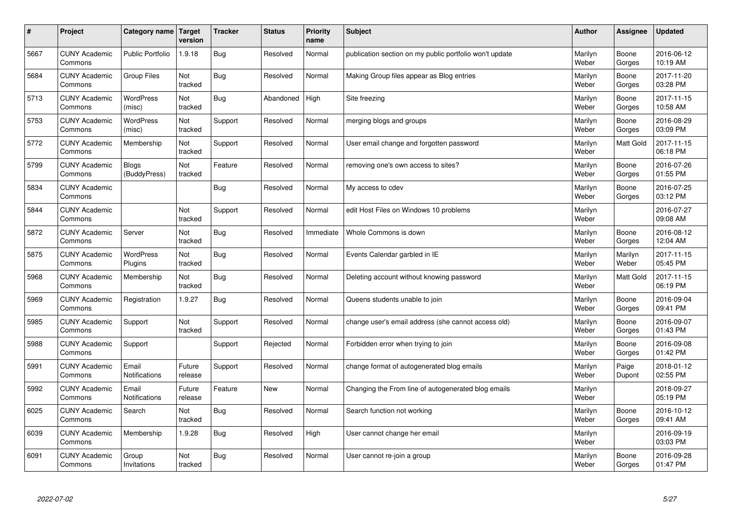| $\#$ | Project                         | Category name   Target       | version           | <b>Tracker</b> | <b>Status</b> | <b>Priority</b><br>name | <b>Subject</b>                                          | <b>Author</b>    | <b>Assignee</b>  | <b>Updated</b>         |
|------|---------------------------------|------------------------------|-------------------|----------------|---------------|-------------------------|---------------------------------------------------------|------------------|------------------|------------------------|
| 5667 | <b>CUNY Academic</b><br>Commons | <b>Public Portfolio</b>      | 1.9.18            | Bug            | Resolved      | Normal                  | publication section on my public portfolio won't update | Marilyn<br>Weber | Boone<br>Gorges  | 2016-06-12<br>10:19 AM |
| 5684 | <b>CUNY Academic</b><br>Commons | <b>Group Files</b>           | Not<br>tracked    | Bug            | Resolved      | Normal                  | Making Group files appear as Blog entries               | Marilyn<br>Weber | Boone<br>Gorges  | 2017-11-20<br>03:28 PM |
| 5713 | <b>CUNY Academic</b><br>Commons | <b>WordPress</b><br>(misc)   | Not<br>tracked    | Bug            | Abandoned     | High                    | Site freezing                                           | Marilyn<br>Weber | Boone<br>Gorges  | 2017-11-15<br>10:58 AM |
| 5753 | <b>CUNY Academic</b><br>Commons | <b>WordPress</b><br>(misc)   | Not<br>tracked    | Support        | Resolved      | Normal                  | merging blogs and groups                                | Marilyn<br>Weber | Boone<br>Gorges  | 2016-08-29<br>03:09 PM |
| 5772 | <b>CUNY Academic</b><br>Commons | Membership                   | Not<br>tracked    | Support        | Resolved      | Normal                  | User email change and forgotten password                | Marilyn<br>Weber | <b>Matt Gold</b> | 2017-11-15<br>06:18 PM |
| 5799 | <b>CUNY Academic</b><br>Commons | <b>Blogs</b><br>(BuddyPress) | Not<br>tracked    | Feature        | Resolved      | Normal                  | removing one's own access to sites?                     | Marilyn<br>Weber | Boone<br>Gorges  | 2016-07-26<br>01:55 PM |
| 5834 | <b>CUNY Academic</b><br>Commons |                              |                   | Bug            | Resolved      | Normal                  | My access to cdev                                       | Marilyn<br>Weber | Boone<br>Gorges  | 2016-07-25<br>03:12 PM |
| 5844 | <b>CUNY Academic</b><br>Commons |                              | Not<br>tracked    | Support        | Resolved      | Normal                  | edit Host Files on Windows 10 problems                  | Marilyn<br>Weber |                  | 2016-07-27<br>09:08 AM |
| 5872 | <b>CUNY Academic</b><br>Commons | Server                       | Not<br>tracked    | Bug            | Resolved      | Immediate               | Whole Commons is down                                   | Marilyn<br>Weber | Boone<br>Gorges  | 2016-08-12<br>12:04 AM |
| 5875 | <b>CUNY Academic</b><br>Commons | <b>WordPress</b><br>Plugins  | Not<br>tracked    | Bug            | Resolved      | Normal                  | Events Calendar garbled in IE                           | Marilyn<br>Weber | Marilyn<br>Weber | 2017-11-15<br>05:45 PM |
| 5968 | <b>CUNY Academic</b><br>Commons | Membership                   | Not<br>tracked    | Bug            | Resolved      | Normal                  | Deleting account without knowing password               | Marilyn<br>Weber | <b>Matt Gold</b> | 2017-11-15<br>06:19 PM |
| 5969 | <b>CUNY Academic</b><br>Commons | Registration                 | 1.9.27            | Bug            | Resolved      | Normal                  | Queens students unable to join                          | Marilyn<br>Weber | Boone<br>Gorges  | 2016-09-04<br>09:41 PM |
| 5985 | <b>CUNY Academic</b><br>Commons | Support                      | Not<br>tracked    | Support        | Resolved      | Normal                  | change user's email address (she cannot access old)     | Marilyn<br>Weber | Boone<br>Gorges  | 2016-09-07<br>01:43 PM |
| 5988 | <b>CUNY Academic</b><br>Commons | Support                      |                   | Support        | Rejected      | Normal                  | Forbidden error when trying to join                     | Marilyn<br>Weber | Boone<br>Gorges  | 2016-09-08<br>01:42 PM |
| 5991 | <b>CUNY Academic</b><br>Commons | Email<br>Notifications       | Future<br>release | Support        | Resolved      | Normal                  | change format of autogenerated blog emails              | Marilyn<br>Weber | Paige<br>Dupont  | 2018-01-12<br>02:55 PM |
| 5992 | <b>CUNY Academic</b><br>Commons | Email<br>Notifications       | Future<br>release | Feature        | <b>New</b>    | Normal                  | Changing the From line of autogenerated blog emails     | Marilyn<br>Weber |                  | 2018-09-27<br>05:19 PM |
| 6025 | <b>CUNY Academic</b><br>Commons | Search                       | Not<br>tracked    | Bug            | Resolved      | Normal                  | Search function not working                             | Marilyn<br>Weber | Boone<br>Gorges  | 2016-10-12<br>09:41 AM |
| 6039 | <b>CUNY Academic</b><br>Commons | Membership                   | 1.9.28            | <b>Bug</b>     | Resolved      | High                    | User cannot change her email                            | Marilyn<br>Weber |                  | 2016-09-19<br>03:03 PM |
| 6091 | <b>CUNY Academic</b><br>Commons | Group<br>Invitations         | Not<br>tracked    | Bug            | Resolved      | Normal                  | User cannot re-join a group                             | Marilyn<br>Weber | Boone<br>Gorges  | 2016-09-28<br>01:47 PM |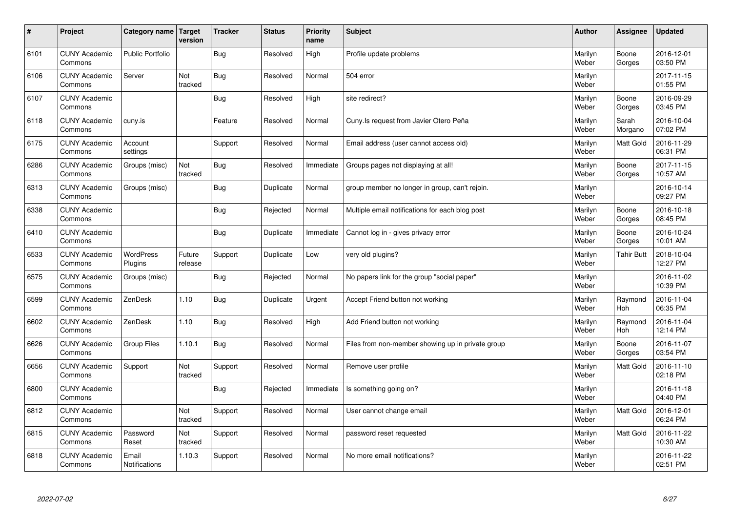| $\sharp$ | Project                         | Category name   Target        | version           | <b>Tracker</b> | <b>Status</b> | <b>Priority</b><br>name | <b>Subject</b>                                    | <b>Author</b>    | Assignee          | <b>Updated</b>         |
|----------|---------------------------------|-------------------------------|-------------------|----------------|---------------|-------------------------|---------------------------------------------------|------------------|-------------------|------------------------|
| 6101     | <b>CUNY Academic</b><br>Commons | <b>Public Portfolio</b>       |                   | Bug            | Resolved      | High                    | Profile update problems                           | Marilyn<br>Weber | Boone<br>Gorges   | 2016-12-01<br>03:50 PM |
| 6106     | <b>CUNY Academic</b><br>Commons | Server                        | Not<br>tracked    | Bug            | Resolved      | Normal                  | 504 error                                         | Marilyn<br>Weber |                   | 2017-11-15<br>01:55 PM |
| 6107     | <b>CUNY Academic</b><br>Commons |                               |                   | Bug            | Resolved      | High                    | site redirect?                                    | Marilyn<br>Weber | Boone<br>Gorges   | 2016-09-29<br>03:45 PM |
| 6118     | <b>CUNY Academic</b><br>Commons | cuny.is                       |                   | Feature        | Resolved      | Normal                  | Cuny. Is request from Javier Otero Peña           | Marilyn<br>Weber | Sarah<br>Morgano  | 2016-10-04<br>07:02 PM |
| 6175     | <b>CUNY Academic</b><br>Commons | Account<br>settings           |                   | Support        | Resolved      | Normal                  | Email address (user cannot access old)            | Marilyn<br>Weber | <b>Matt Gold</b>  | 2016-11-29<br>06:31 PM |
| 6286     | <b>CUNY Academic</b><br>Commons | Groups (misc)                 | Not<br>tracked    | Bug            | Resolved      | Immediate               | Groups pages not displaying at all!               | Marilyn<br>Weber | Boone<br>Gorges   | 2017-11-15<br>10:57 AM |
| 6313     | <b>CUNY Academic</b><br>Commons | Groups (misc)                 |                   | Bug            | Duplicate     | Normal                  | group member no longer in group, can't rejoin.    | Marilyn<br>Weber |                   | 2016-10-14<br>09:27 PM |
| 6338     | <b>CUNY Academic</b><br>Commons |                               |                   | <b>Bug</b>     | Rejected      | Normal                  | Multiple email notifications for each blog post   | Marilyn<br>Weber | Boone<br>Gorges   | 2016-10-18<br>08:45 PM |
| 6410     | <b>CUNY Academic</b><br>Commons |                               |                   | Bug            | Duplicate     | Immediate               | Cannot log in - gives privacy error               | Marilyn<br>Weber | Boone<br>Gorges   | 2016-10-24<br>10:01 AM |
| 6533     | <b>CUNY Academic</b><br>Commons | WordPress<br>Plugins          | Future<br>release | Support        | Duplicate     | Low                     | very old plugins?                                 | Marilyn<br>Weber | <b>Tahir Butt</b> | 2018-10-04<br>12:27 PM |
| 6575     | <b>CUNY Academic</b><br>Commons | Groups (misc)                 |                   | <b>Bug</b>     | Rejected      | Normal                  | No papers link for the group "social paper"       | Marilyn<br>Weber |                   | 2016-11-02<br>10:39 PM |
| 6599     | <b>CUNY Academic</b><br>Commons | ZenDesk                       | 1.10              | <b>Bug</b>     | Duplicate     | Urgent                  | Accept Friend button not working                  | Marilyn<br>Weber | Raymond<br>Hoh    | 2016-11-04<br>06:35 PM |
| 6602     | <b>CUNY Academic</b><br>Commons | ZenDesk                       | 1.10              | Bug            | Resolved      | High                    | Add Friend button not working                     | Marilyn<br>Weber | Raymond<br>Hoh    | 2016-11-04<br>12:14 PM |
| 6626     | <b>CUNY Academic</b><br>Commons | Group Files                   | 1.10.1            | Bug            | Resolved      | Normal                  | Files from non-member showing up in private group | Marilyn<br>Weber | Boone<br>Gorges   | 2016-11-07<br>03:54 PM |
| 6656     | <b>CUNY Academic</b><br>Commons | Support                       | Not<br>tracked    | Support        | Resolved      | Normal                  | Remove user profile                               | Marilyn<br>Weber | Matt Gold         | 2016-11-10<br>02:18 PM |
| 6800     | <b>CUNY Academic</b><br>Commons |                               |                   | Bug            | Rejected      | Immediate               | Is something going on?                            | Marilyn<br>Weber |                   | 2016-11-18<br>04:40 PM |
| 6812     | <b>CUNY Academic</b><br>Commons |                               | Not<br>tracked    | Support        | Resolved      | Normal                  | User cannot change email                          | Marilyn<br>Weber | Matt Gold         | 2016-12-01<br>06:24 PM |
| 6815     | <b>CUNY Academic</b><br>Commons | Password<br>Reset             | Not<br>tracked    | Support        | Resolved      | Normal                  | password reset requested                          | Marilyn<br>Weber | <b>Matt Gold</b>  | 2016-11-22<br>10:30 AM |
| 6818     | <b>CUNY Academic</b><br>Commons | Email<br><b>Notifications</b> | 1.10.3            | Support        | Resolved      | Normal                  | No more email notifications?                      | Marilyn<br>Weber |                   | 2016-11-22<br>02:51 PM |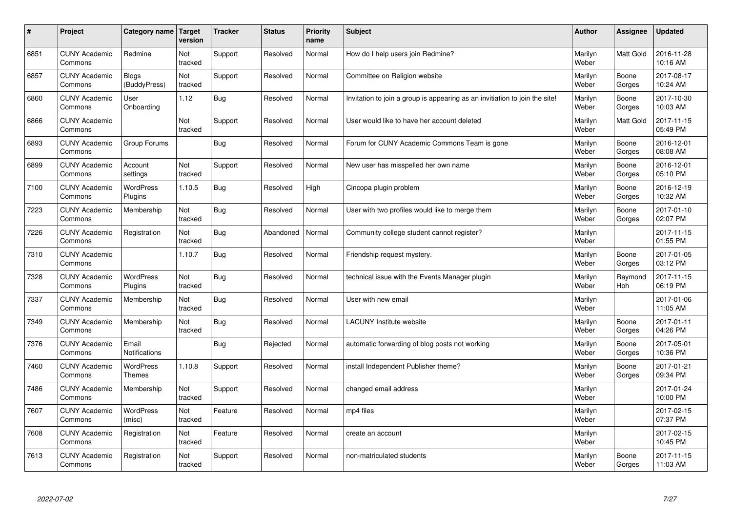| $\vert$ # | Project                         | Category name                 | <b>Target</b><br>version | <b>Tracker</b> | <b>Status</b> | <b>Priority</b><br>name | <b>Subject</b>                                                              | <b>Author</b>    | <b>Assignee</b>  | <b>Updated</b>         |
|-----------|---------------------------------|-------------------------------|--------------------------|----------------|---------------|-------------------------|-----------------------------------------------------------------------------|------------------|------------------|------------------------|
| 6851      | <b>CUNY Academic</b><br>Commons | Redmine                       | Not<br>tracked           | Support        | Resolved      | Normal                  | How do I help users join Redmine?                                           | Marilyn<br>Weber | <b>Matt Gold</b> | 2016-11-28<br>10:16 AM |
| 6857      | <b>CUNY Academic</b><br>Commons | <b>Blogs</b><br>(BuddyPress)  | Not<br>tracked           | Support        | Resolved      | Normal                  | Committee on Religion website                                               | Marilyn<br>Weber | Boone<br>Gorges  | 2017-08-17<br>10:24 AM |
| 6860      | <b>CUNY Academic</b><br>Commons | User<br>Onboarding            | 1.12                     | <b>Bug</b>     | Resolved      | Normal                  | Invitation to join a group is appearing as an invitiation to join the site! | Marilyn<br>Weber | Boone<br>Gorges  | 2017-10-30<br>10:03 AM |
| 6866      | <b>CUNY Academic</b><br>Commons |                               | <b>Not</b><br>tracked    | Support        | Resolved      | Normal                  | User would like to have her account deleted                                 | Marilyn<br>Weber | Matt Gold        | 2017-11-15<br>05:49 PM |
| 6893      | <b>CUNY Academic</b><br>Commons | Group Forums                  |                          | Bug            | Resolved      | Normal                  | Forum for CUNY Academic Commons Team is gone                                | Marilyn<br>Weber | Boone<br>Gorges  | 2016-12-01<br>08:08 AM |
| 6899      | <b>CUNY Academic</b><br>Commons | Account<br>settings           | Not<br>tracked           | Support        | Resolved      | Normal                  | New user has misspelled her own name                                        | Marilyn<br>Weber | Boone<br>Gorges  | 2016-12-01<br>05:10 PM |
| 7100      | <b>CUNY Academic</b><br>Commons | WordPress<br>Plugins          | 1.10.5                   | Bug            | Resolved      | High                    | Cincopa plugin problem                                                      | Marilyn<br>Weber | Boone<br>Gorges  | 2016-12-19<br>10:32 AM |
| 7223      | <b>CUNY Academic</b><br>Commons | Membership                    | Not<br>tracked           | Bug            | Resolved      | Normal                  | User with two profiles would like to merge them                             | Marilyn<br>Weber | Boone<br>Gorges  | 2017-01-10<br>02:07 PM |
| 7226      | <b>CUNY Academic</b><br>Commons | Registration                  | Not<br>tracked           | Bug            | Abandoned     | Normal                  | Community college student cannot register?                                  | Marilyn<br>Weber |                  | 2017-11-15<br>01:55 PM |
| 7310      | <b>CUNY Academic</b><br>Commons |                               | 1.10.7                   | <b>Bug</b>     | Resolved      | Normal                  | Friendship request mystery.                                                 | Marilyn<br>Weber | Boone<br>Gorges  | 2017-01-05<br>03:12 PM |
| 7328      | <b>CUNY Academic</b><br>Commons | WordPress<br>Plugins          | Not<br>tracked           | Bug            | Resolved      | Normal                  | technical issue with the Events Manager plugin                              | Marilyn<br>Weber | Raymond<br>Hoh   | 2017-11-15<br>06:19 PM |
| 7337      | <b>CUNY Academic</b><br>Commons | Membership                    | Not<br>tracked           | Bug            | Resolved      | Normal                  | User with new email                                                         | Marilyn<br>Weber |                  | 2017-01-06<br>11:05 AM |
| 7349      | <b>CUNY Academic</b><br>Commons | Membership                    | Not<br>tracked           | <b>Bug</b>     | Resolved      | Normal                  | LACUNY Institute website                                                    | Marilyn<br>Weber | Boone<br>Gorges  | 2017-01-11<br>04:26 PM |
| 7376      | <b>CUNY Academic</b><br>Commons | Email<br><b>Notifications</b> |                          | Bug            | Rejected      | Normal                  | automatic forwarding of blog posts not working                              | Marilyn<br>Weber | Boone<br>Gorges  | 2017-05-01<br>10:36 PM |
| 7460      | <b>CUNY Academic</b><br>Commons | <b>WordPress</b><br>Themes    | 1.10.8                   | Support        | Resolved      | Normal                  | install Independent Publisher theme?                                        | Marilyn<br>Weber | Boone<br>Gorges  | 2017-01-21<br>09:34 PM |
| 7486      | <b>CUNY Academic</b><br>Commons | Membership                    | Not<br>tracked           | Support        | Resolved      | Normal                  | changed email address                                                       | Marilyn<br>Weber |                  | 2017-01-24<br>10:00 PM |
| 7607      | <b>CUNY Academic</b><br>Commons | WordPress<br>(misc)           | Not<br>tracked           | Feature        | Resolved      | Normal                  | mp4 files                                                                   | Marilyn<br>Weber |                  | 2017-02-15<br>07:37 PM |
| 7608      | <b>CUNY Academic</b><br>Commons | Registration                  | Not<br>tracked           | Feature        | Resolved      | Normal                  | create an account                                                           | Marilyn<br>Weber |                  | 2017-02-15<br>10:45 PM |
| 7613      | <b>CUNY Academic</b><br>Commons | Registration                  | Not<br>tracked           | Support        | Resolved      | Normal                  | non-matriculated students                                                   | Marilyn<br>Weber | Boone<br>Gorges  | 2017-11-15<br>11:03 AM |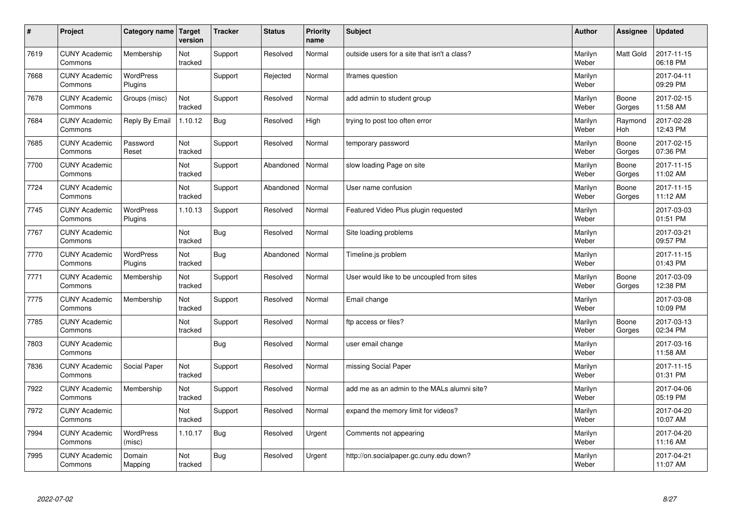| $\sharp$ | Project                         | Category name   Target      | version        | <b>Tracker</b> | <b>Status</b> | <b>Priority</b><br>name | <b>Subject</b>                               | <b>Author</b>    | Assignee              | <b>Updated</b>         |
|----------|---------------------------------|-----------------------------|----------------|----------------|---------------|-------------------------|----------------------------------------------|------------------|-----------------------|------------------------|
| 7619     | <b>CUNY Academic</b><br>Commons | Membership                  | Not<br>tracked | Support        | Resolved      | Normal                  | outside users for a site that isn't a class? | Marilyn<br>Weber | <b>Matt Gold</b>      | 2017-11-15<br>06:18 PM |
| 7668     | <b>CUNY Academic</b><br>Commons | <b>WordPress</b><br>Plugins |                | Support        | Rejected      | Normal                  | Iframes question                             | Marilyn<br>Weber |                       | 2017-04-11<br>09:29 PM |
| 7678     | <b>CUNY Academic</b><br>Commons | Groups (misc)               | Not<br>tracked | Support        | Resolved      | Normal                  | add admin to student group                   | Marilyn<br>Weber | Boone<br>Gorges       | 2017-02-15<br>11:58 AM |
| 7684     | <b>CUNY Academic</b><br>Commons | Reply By Email              | 1.10.12        | Bug            | Resolved      | High                    | trying to post too often error               | Marilyn<br>Weber | Raymond<br><b>Hoh</b> | 2017-02-28<br>12:43 PM |
| 7685     | <b>CUNY Academic</b><br>Commons | Password<br>Reset           | Not<br>tracked | Support        | Resolved      | Normal                  | temporary password                           | Marilyn<br>Weber | Boone<br>Gorges       | 2017-02-15<br>07:36 PM |
| 7700     | <b>CUNY Academic</b><br>Commons |                             | Not<br>tracked | Support        | Abandoned     | Normal                  | slow loading Page on site                    | Marilyn<br>Weber | Boone<br>Gorges       | 2017-11-15<br>11:02 AM |
| 7724     | <b>CUNY Academic</b><br>Commons |                             | Not<br>tracked | Support        | Abandoned     | Normal                  | User name confusion                          | Marilyn<br>Weber | Boone<br>Gorges       | 2017-11-15<br>11:12 AM |
| 7745     | <b>CUNY Academic</b><br>Commons | WordPress<br>Plugins        | 1.10.13        | Support        | Resolved      | Normal                  | Featured Video Plus plugin requested         | Marilyn<br>Weber |                       | 2017-03-03<br>01:51 PM |
| 7767     | <b>CUNY Academic</b><br>Commons |                             | Not<br>tracked | Bug            | Resolved      | Normal                  | Site loading problems                        | Marilyn<br>Weber |                       | 2017-03-21<br>09:57 PM |
| 7770     | <b>CUNY Academic</b><br>Commons | WordPress<br>Plugins        | Not<br>tracked | Bug            | Abandoned     | Normal                  | Timeline.js problem                          | Marilyn<br>Weber |                       | 2017-11-15<br>01:43 PM |
| 7771     | <b>CUNY Academic</b><br>Commons | Membership                  | Not<br>tracked | Support        | Resolved      | Normal                  | User would like to be uncoupled from sites   | Marilyn<br>Weber | Boone<br>Gorges       | 2017-03-09<br>12:38 PM |
| 7775     | <b>CUNY Academic</b><br>Commons | Membership                  | Not<br>tracked | Support        | Resolved      | Normal                  | Email change                                 | Marilyn<br>Weber |                       | 2017-03-08<br>10:09 PM |
| 7785     | <b>CUNY Academic</b><br>Commons |                             | Not<br>tracked | Support        | Resolved      | Normal                  | ftp access or files?                         | Marilyn<br>Weber | Boone<br>Gorges       | 2017-03-13<br>02:34 PM |
| 7803     | <b>CUNY Academic</b><br>Commons |                             |                | Bug            | Resolved      | Normal                  | user email change                            | Marilyn<br>Weber |                       | 2017-03-16<br>11:58 AM |
| 7836     | <b>CUNY Academic</b><br>Commons | Social Paper                | Not<br>tracked | Support        | Resolved      | Normal                  | missing Social Paper                         | Marilyn<br>Weber |                       | 2017-11-15<br>01:31 PM |
| 7922     | <b>CUNY Academic</b><br>Commons | Membership                  | Not<br>tracked | Support        | Resolved      | Normal                  | add me as an admin to the MALs alumni site?  | Marilyn<br>Weber |                       | 2017-04-06<br>05:19 PM |
| 7972     | <b>CUNY Academic</b><br>Commons |                             | Not<br>tracked | Support        | Resolved      | Normal                  | expand the memory limit for videos?          | Marilyn<br>Weber |                       | 2017-04-20<br>10:07 AM |
| 7994     | <b>CUNY Academic</b><br>Commons | <b>WordPress</b><br>(misc)  | 1.10.17        | Bug            | Resolved      | Urgent                  | Comments not appearing                       | Marilyn<br>Weber |                       | 2017-04-20<br>11:16 AM |
| 7995     | <b>CUNY Academic</b><br>Commons | Domain<br>Mapping           | Not<br>tracked | Bug            | Resolved      | Urgent                  | http://on.socialpaper.gc.cuny.edu down?      | Marilyn<br>Weber |                       | 2017-04-21<br>11:07 AM |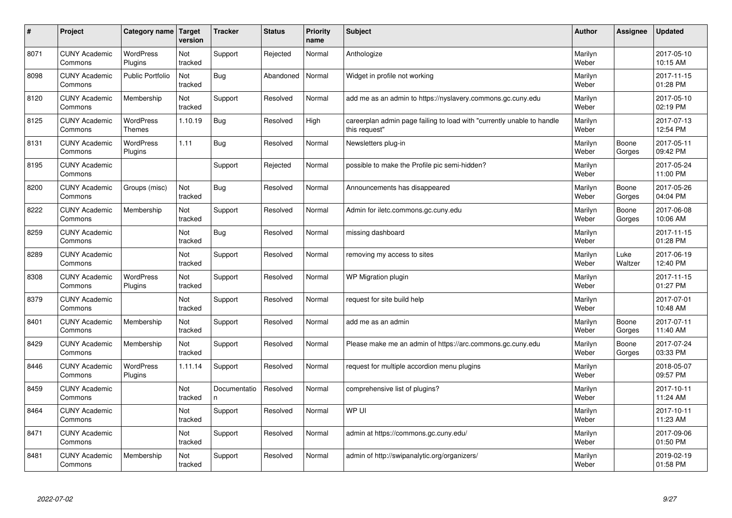| #    | Project                         | Category name                     | Target<br>version | <b>Tracker</b>     | <b>Status</b> | <b>Priority</b><br>name | <b>Subject</b>                                                                          | <b>Author</b>    | Assignee        | <b>Updated</b>         |
|------|---------------------------------|-----------------------------------|-------------------|--------------------|---------------|-------------------------|-----------------------------------------------------------------------------------------|------------------|-----------------|------------------------|
| 8071 | <b>CUNY Academic</b><br>Commons | <b>WordPress</b><br>Plugins       | Not<br>tracked    | Support            | Rejected      | Normal                  | Anthologize                                                                             | Marilyn<br>Weber |                 | 2017-05-10<br>10:15 AM |
| 8098 | <b>CUNY Academic</b><br>Commons | Public Portfolio                  | Not<br>tracked    | <b>Bug</b>         | Abandoned     | Normal                  | Widget in profile not working                                                           | Marilyn<br>Weber |                 | 2017-11-15<br>01:28 PM |
| 8120 | <b>CUNY Academic</b><br>Commons | Membership                        | Not<br>tracked    | Support            | Resolved      | Normal                  | add me as an admin to https://nyslavery.commons.gc.cuny.edu                             | Marilyn<br>Weber |                 | 2017-05-10<br>02:19 PM |
| 8125 | <b>CUNY Academic</b><br>Commons | <b>WordPress</b><br><b>Themes</b> | 1.10.19           | <b>Bug</b>         | Resolved      | High                    | careerplan admin page failing to load with "currently unable to handle<br>this request" | Marilyn<br>Weber |                 | 2017-07-13<br>12:54 PM |
| 8131 | <b>CUNY Academic</b><br>Commons | <b>WordPress</b><br>Plugins       | 1.11              | Bug                | Resolved      | Normal                  | Newsletters plug-in                                                                     | Marilyn<br>Weber | Boone<br>Gorges | 2017-05-11<br>09:42 PM |
| 8195 | <b>CUNY Academic</b><br>Commons |                                   |                   | Support            | Rejected      | Normal                  | possible to make the Profile pic semi-hidden?                                           | Marilyn<br>Weber |                 | 2017-05-24<br>11:00 PM |
| 8200 | <b>CUNY Academic</b><br>Commons | Groups (misc)                     | Not<br>tracked    | <b>Bug</b>         | Resolved      | Normal                  | Announcements has disappeared                                                           | Marilyn<br>Weber | Boone<br>Gorges | 2017-05-26<br>04:04 PM |
| 8222 | <b>CUNY Academic</b><br>Commons | Membership                        | Not<br>tracked    | Support            | Resolved      | Normal                  | Admin for iletc.commons.gc.cuny.edu                                                     | Marilyn<br>Weber | Boone<br>Gorges | 2017-06-08<br>10:06 AM |
| 8259 | <b>CUNY Academic</b><br>Commons |                                   | Not<br>tracked    | Bug                | Resolved      | Normal                  | missing dashboard                                                                       | Marilyn<br>Weber |                 | 2017-11-15<br>01:28 PM |
| 8289 | <b>CUNY Academic</b><br>Commons |                                   | Not<br>tracked    | Support            | Resolved      | Normal                  | removing my access to sites                                                             | Marilyn<br>Weber | Luke<br>Waltzer | 2017-06-19<br>12:40 PM |
| 8308 | <b>CUNY Academic</b><br>Commons | <b>WordPress</b><br>Plugins       | Not<br>tracked    | Support            | Resolved      | Normal                  | WP Migration plugin                                                                     | Marilyn<br>Weber |                 | 2017-11-15<br>01:27 PM |
| 8379 | <b>CUNY Academic</b><br>Commons |                                   | Not<br>tracked    | Support            | Resolved      | Normal                  | request for site build help                                                             | Marilyn<br>Weber |                 | 2017-07-01<br>10:48 AM |
| 8401 | <b>CUNY Academic</b><br>Commons | Membership                        | Not<br>tracked    | Support            | Resolved      | Normal                  | add me as an admin                                                                      | Marilyn<br>Weber | Boone<br>Gorges | 2017-07-11<br>11:40 AM |
| 8429 | <b>CUNY Academic</b><br>Commons | Membership                        | Not<br>tracked    | Support            | Resolved      | Normal                  | Please make me an admin of https://arc.commons.gc.cuny.edu                              | Marilyn<br>Weber | Boone<br>Gorges | 2017-07-24<br>03:33 PM |
| 8446 | <b>CUNY Academic</b><br>Commons | <b>WordPress</b><br>Plugins       | 1.11.14           | Support            | Resolved      | Normal                  | request for multiple accordion menu plugins                                             | Marilyn<br>Weber |                 | 2018-05-07<br>09:57 PM |
| 8459 | <b>CUNY Academic</b><br>Commons |                                   | Not<br>tracked    | Documentatio<br>n. | Resolved      | Normal                  | comprehensive list of plugins?                                                          | Marilyn<br>Weber |                 | 2017-10-11<br>11:24 AM |
| 8464 | <b>CUNY Academic</b><br>Commons |                                   | Not<br>tracked    | Support            | Resolved      | Normal                  | WP UI                                                                                   | Marilyn<br>Weber |                 | 2017-10-11<br>11:23 AM |
| 8471 | <b>CUNY Academic</b><br>Commons |                                   | Not<br>tracked    | Support            | Resolved      | Normal                  | admin at https://commons.gc.cuny.edu/                                                   | Marilyn<br>Weber |                 | 2017-09-06<br>01:50 PM |
| 8481 | <b>CUNY Academic</b><br>Commons | Membership                        | Not<br>tracked    | Support            | Resolved      | Normal                  | admin of http://swipanalytic.org/organizers/                                            | Marilyn<br>Weber |                 | 2019-02-19<br>01:58 PM |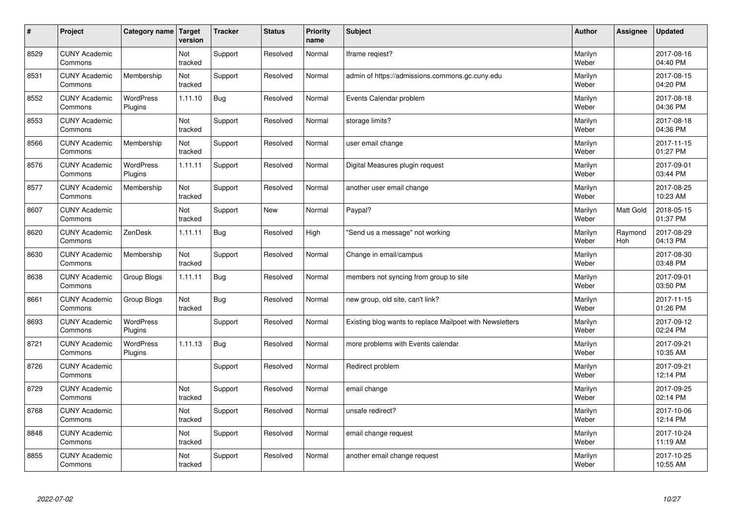| $\vert$ # | Project                         | Category name               | Target<br>version | <b>Tracker</b> | <b>Status</b> | <b>Priority</b><br>name | <b>Subject</b>                                           | <b>Author</b>    | Assignee              | <b>Updated</b>         |
|-----------|---------------------------------|-----------------------------|-------------------|----------------|---------------|-------------------------|----------------------------------------------------------|------------------|-----------------------|------------------------|
| 8529      | <b>CUNY Academic</b><br>Commons |                             | Not<br>tracked    | Support        | Resolved      | Normal                  | Iframe regiest?                                          | Marilyn<br>Weber |                       | 2017-08-16<br>04:40 PM |
| 8531      | <b>CUNY Academic</b><br>Commons | Membership                  | Not<br>tracked    | Support        | Resolved      | Normal                  | admin of https://admissions.commons.gc.cuny.edu          | Marilyn<br>Weber |                       | 2017-08-15<br>04:20 PM |
| 8552      | <b>CUNY Academic</b><br>Commons | <b>WordPress</b><br>Plugins | 1.11.10           | Bug            | Resolved      | Normal                  | Events Calendar problem                                  | Marilyn<br>Weber |                       | 2017-08-18<br>04:36 PM |
| 8553      | <b>CUNY Academic</b><br>Commons |                             | Not<br>tracked    | Support        | Resolved      | Normal                  | storage limits?                                          | Marilyn<br>Weber |                       | 2017-08-18<br>04:36 PM |
| 8566      | <b>CUNY Academic</b><br>Commons | Membership                  | Not<br>tracked    | Support        | Resolved      | Normal                  | user email change                                        | Marilyn<br>Weber |                       | 2017-11-15<br>01:27 PM |
| 8576      | <b>CUNY Academic</b><br>Commons | WordPress<br>Plugins        | 1.11.11           | Support        | Resolved      | Normal                  | Digital Measures plugin request                          | Marilyn<br>Weber |                       | 2017-09-01<br>03:44 PM |
| 8577      | <b>CUNY Academic</b><br>Commons | Membership                  | Not<br>tracked    | Support        | Resolved      | Normal                  | another user email change                                | Marilyn<br>Weber |                       | 2017-08-25<br>10:23 AM |
| 8607      | <b>CUNY Academic</b><br>Commons |                             | Not<br>tracked    | Support        | <b>New</b>    | Normal                  | Paypal?                                                  | Marilyn<br>Weber | <b>Matt Gold</b>      | 2018-05-15<br>01:37 PM |
| 8620      | <b>CUNY Academic</b><br>Commons | ZenDesk                     | 1.11.11           | Bug            | Resolved      | High                    | 'Send us a message" not working                          | Marilyn<br>Weber | Raymond<br><b>Hoh</b> | 2017-08-29<br>04:13 PM |
| 8630      | <b>CUNY Academic</b><br>Commons | Membership                  | Not<br>tracked    | Support        | Resolved      | Normal                  | Change in email/campus                                   | Marilyn<br>Weber |                       | 2017-08-30<br>03:48 PM |
| 8638      | <b>CUNY Academic</b><br>Commons | Group Blogs                 | 1.11.11           | <b>Bug</b>     | Resolved      | Normal                  | members not syncing from group to site                   | Marilyn<br>Weber |                       | 2017-09-01<br>03:50 PM |
| 8661      | <b>CUNY Academic</b><br>Commons | Group Blogs                 | Not<br>tracked    | Bug            | Resolved      | Normal                  | new group, old site, can't link?                         | Marilyn<br>Weber |                       | 2017-11-15<br>01:26 PM |
| 8693      | <b>CUNY Academic</b><br>Commons | WordPress<br>Plugins        |                   | Support        | Resolved      | Normal                  | Existing blog wants to replace Mailpoet with Newsletters | Marilyn<br>Weber |                       | 2017-09-12<br>02:24 PM |
| 8721      | <b>CUNY Academic</b><br>Commons | <b>WordPress</b><br>Plugins | 1.11.13           | Bug            | Resolved      | Normal                  | more problems with Events calendar                       | Marilyn<br>Weber |                       | 2017-09-21<br>10:35 AM |
| 8726      | <b>CUNY Academic</b><br>Commons |                             |                   | Support        | Resolved      | Normal                  | Redirect problem                                         | Marilyn<br>Weber |                       | 2017-09-21<br>12:14 PM |
| 8729      | <b>CUNY Academic</b><br>Commons |                             | Not<br>tracked    | Support        | Resolved      | Normal                  | email change                                             | Marilyn<br>Weber |                       | 2017-09-25<br>02:14 PM |
| 8768      | <b>CUNY Academic</b><br>Commons |                             | Not<br>tracked    | Support        | Resolved      | Normal                  | unsafe redirect?                                         | Marilyn<br>Weber |                       | 2017-10-06<br>12:14 PM |
| 8848      | <b>CUNY Academic</b><br>Commons |                             | Not<br>tracked    | Support        | Resolved      | Normal                  | email change request                                     | Marilyn<br>Weber |                       | 2017-10-24<br>11:19 AM |
| 8855      | <b>CUNY Academic</b><br>Commons |                             | Not<br>tracked    | Support        | Resolved      | Normal                  | another email change request                             | Marilyn<br>Weber |                       | 2017-10-25<br>10:55 AM |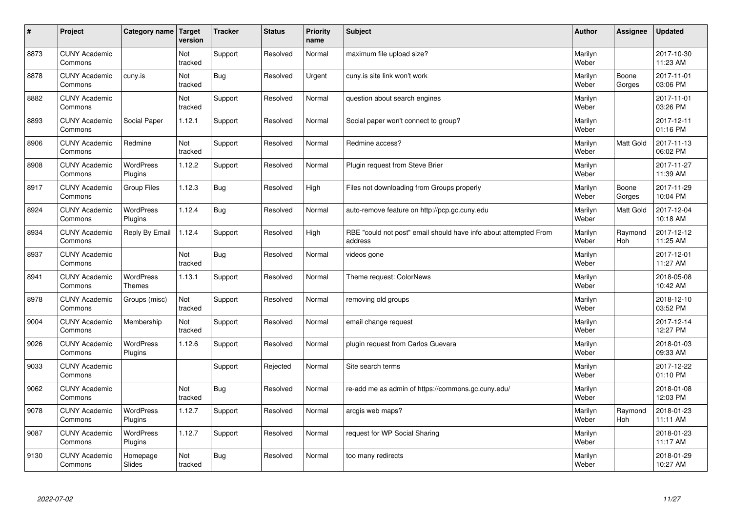| $\sharp$ | Project                         | Category name   Target             | version        | <b>Tracker</b> | <b>Status</b> | <b>Priority</b><br>name | <b>Subject</b>                                                              | <b>Author</b>    | Assignee         | <b>Updated</b>         |
|----------|---------------------------------|------------------------------------|----------------|----------------|---------------|-------------------------|-----------------------------------------------------------------------------|------------------|------------------|------------------------|
| 8873     | <b>CUNY Academic</b><br>Commons |                                    | Not<br>tracked | Support        | Resolved      | Normal                  | maximum file upload size?                                                   | Marilyn<br>Weber |                  | 2017-10-30<br>11:23 AM |
| 8878     | <b>CUNY Academic</b><br>Commons | cuny.is                            | Not<br>tracked | Bug            | Resolved      | Urgent                  | cuny.is site link won't work                                                | Marilyn<br>Weber | Boone<br>Gorges  | 2017-11-01<br>03:06 PM |
| 8882     | <b>CUNY Academic</b><br>Commons |                                    | Not<br>tracked | Support        | Resolved      | Normal                  | question about search engines                                               | Marilyn<br>Weber |                  | 2017-11-01<br>03:26 PM |
| 8893     | <b>CUNY Academic</b><br>Commons | Social Paper                       | 1.12.1         | Support        | Resolved      | Normal                  | Social paper won't connect to group?                                        | Marilyn<br>Weber |                  | 2017-12-11<br>01:16 PM |
| 8906     | <b>CUNY Academic</b><br>Commons | Redmine                            | Not<br>tracked | Support        | Resolved      | Normal                  | Redmine access?                                                             | Marilyn<br>Weber | <b>Matt Gold</b> | 2017-11-13<br>06:02 PM |
| 8908     | <b>CUNY Academic</b><br>Commons | <b>WordPress</b><br><b>Plugins</b> | 1.12.2         | Support        | Resolved      | Normal                  | Plugin request from Steve Brier                                             | Marilyn<br>Weber |                  | 2017-11-27<br>11:39 AM |
| 8917     | <b>CUNY Academic</b><br>Commons | <b>Group Files</b>                 | 1.12.3         | Bug            | Resolved      | High                    | Files not downloading from Groups properly                                  | Marilyn<br>Weber | Boone<br>Gorges  | 2017-11-29<br>10:04 PM |
| 8924     | <b>CUNY Academic</b><br>Commons | WordPress<br>Plugins               | 1.12.4         | <b>Bug</b>     | Resolved      | Normal                  | auto-remove feature on http://pcp.gc.cuny.edu                               | Marilyn<br>Weber | <b>Matt Gold</b> | 2017-12-04<br>10:18 AM |
| 8934     | <b>CUNY Academic</b><br>Commons | Reply By Email                     | 1.12.4         | Support        | Resolved      | High                    | RBE "could not post" email should have info about attempted From<br>address | Marilyn<br>Weber | Raymond<br>Hoh   | 2017-12-12<br>11:25 AM |
| 8937     | <b>CUNY Academic</b><br>Commons |                                    | Not<br>tracked | <b>Bug</b>     | Resolved      | Normal                  | videos gone                                                                 | Marilyn<br>Weber |                  | 2017-12-01<br>11:27 AM |
| 8941     | <b>CUNY Academic</b><br>Commons | <b>WordPress</b><br><b>Themes</b>  | 1.13.1         | Support        | Resolved      | Normal                  | Theme request: ColorNews                                                    | Marilyn<br>Weber |                  | 2018-05-08<br>10:42 AM |
| 8978     | <b>CUNY Academic</b><br>Commons | Groups (misc)                      | Not<br>tracked | Support        | Resolved      | Normal                  | removing old groups                                                         | Marilyn<br>Weber |                  | 2018-12-10<br>03:52 PM |
| 9004     | <b>CUNY Academic</b><br>Commons | Membership                         | Not<br>tracked | Support        | Resolved      | Normal                  | email change request                                                        | Marilyn<br>Weber |                  | 2017-12-14<br>12:27 PM |
| 9026     | <b>CUNY Academic</b><br>Commons | WordPress<br>Plugins               | 1.12.6         | Support        | Resolved      | Normal                  | plugin request from Carlos Guevara                                          | Marilyn<br>Weber |                  | 2018-01-03<br>09:33 AM |
| 9033     | <b>CUNY Academic</b><br>Commons |                                    |                | Support        | Rejected      | Normal                  | Site search terms                                                           | Marilyn<br>Weber |                  | 2017-12-22<br>01:10 PM |
| 9062     | <b>CUNY Academic</b><br>Commons |                                    | Not<br>tracked | Bug            | Resolved      | Normal                  | re-add me as admin of https://commons.gc.cuny.edu/                          | Marilyn<br>Weber |                  | 2018-01-08<br>12:03 PM |
| 9078     | <b>CUNY Academic</b><br>Commons | WordPress<br>Plugins               | 1.12.7         | Support        | Resolved      | Normal                  | arcgis web maps?                                                            | Marilyn<br>Weber | Raymond<br>Hoh   | 2018-01-23<br>11:11 AM |
| 9087     | <b>CUNY Academic</b><br>Commons | <b>WordPress</b><br>Plugins        | 1.12.7         | Support        | Resolved      | Normal                  | request for WP Social Sharing                                               | Marilyn<br>Weber |                  | 2018-01-23<br>11:17 AM |
| 9130     | <b>CUNY Academic</b><br>Commons | Homepage<br>Slides                 | Not<br>tracked | Bug            | Resolved      | Normal                  | too many redirects                                                          | Marilyn<br>Weber |                  | 2018-01-29<br>10:27 AM |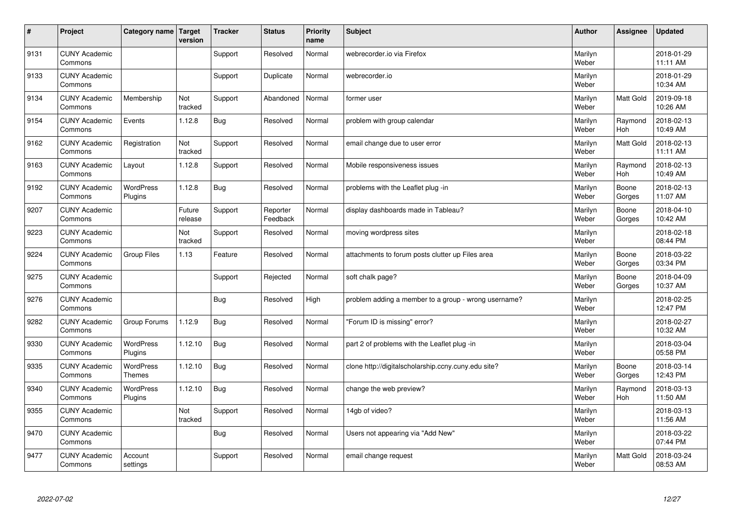| $\sharp$ | Project                         | Category name   Target      | version           | <b>Tracker</b> | <b>Status</b>        | <b>Priority</b><br>name | <b>Subject</b>                                       | <b>Author</b>    | Assignee              | <b>Updated</b>         |
|----------|---------------------------------|-----------------------------|-------------------|----------------|----------------------|-------------------------|------------------------------------------------------|------------------|-----------------------|------------------------|
| 9131     | <b>CUNY Academic</b><br>Commons |                             |                   | Support        | Resolved             | Normal                  | webrecorder.jo via Firefox                           | Marilyn<br>Weber |                       | 2018-01-29<br>11:11 AM |
| 9133     | <b>CUNY Academic</b><br>Commons |                             |                   | Support        | Duplicate            | Normal                  | webrecorder.io                                       | Marilyn<br>Weber |                       | 2018-01-29<br>10:34 AM |
| 9134     | <b>CUNY Academic</b><br>Commons | Membership                  | Not<br>tracked    | Support        | Abandoned            | Normal                  | former user                                          | Marilyn<br>Weber | Matt Gold             | 2019-09-18<br>10:26 AM |
| 9154     | <b>CUNY Academic</b><br>Commons | Events                      | 1.12.8            | Bug            | Resolved             | Normal                  | problem with group calendar                          | Marilyn<br>Weber | Raymond<br>Hoh        | 2018-02-13<br>10:49 AM |
| 9162     | <b>CUNY Academic</b><br>Commons | Registration                | Not<br>tracked    | Support        | Resolved             | Normal                  | email change due to user error                       | Marilyn<br>Weber | <b>Matt Gold</b>      | 2018-02-13<br>11:11 AM |
| 9163     | <b>CUNY Academic</b><br>Commons | Layout                      | 1.12.8            | Support        | Resolved             | Normal                  | Mobile responsiveness issues                         | Marilyn<br>Weber | Raymond<br>Hoh        | 2018-02-13<br>10:49 AM |
| 9192     | <b>CUNY Academic</b><br>Commons | <b>WordPress</b><br>Plugins | 1.12.8            | Bug            | Resolved             | Normal                  | problems with the Leaflet plug -in                   | Marilyn<br>Weber | Boone<br>Gorges       | 2018-02-13<br>11:07 AM |
| 9207     | <b>CUNY Academic</b><br>Commons |                             | Future<br>release | Support        | Reporter<br>Feedback | Normal                  | display dashboards made in Tableau?                  | Marilyn<br>Weber | Boone<br>Gorges       | 2018-04-10<br>10:42 AM |
| 9223     | <b>CUNY Academic</b><br>Commons |                             | Not<br>tracked    | Support        | Resolved             | Normal                  | moving wordpress sites                               | Marilyn<br>Weber |                       | 2018-02-18<br>08:44 PM |
| 9224     | <b>CUNY Academic</b><br>Commons | <b>Group Files</b>          | 1.13              | Feature        | Resolved             | Normal                  | attachments to forum posts clutter up Files area     | Marilyn<br>Weber | Boone<br>Gorges       | 2018-03-22<br>03:34 PM |
| 9275     | <b>CUNY Academic</b><br>Commons |                             |                   | Support        | Rejected             | Normal                  | soft chalk page?                                     | Marilyn<br>Weber | Boone<br>Gorges       | 2018-04-09<br>10:37 AM |
| 9276     | <b>CUNY Academic</b><br>Commons |                             |                   | <b>Bug</b>     | Resolved             | High                    | problem adding a member to a group - wrong username? | Marilyn<br>Weber |                       | 2018-02-25<br>12:47 PM |
| 9282     | <b>CUNY Academic</b><br>Commons | Group Forums                | 1.12.9            | Bug            | Resolved             | Normal                  | 'Forum ID is missing" error?                         | Marilyn<br>Weber |                       | 2018-02-27<br>10:32 AM |
| 9330     | <b>CUNY Academic</b><br>Commons | WordPress<br>Plugins        | 1.12.10           | Bug            | Resolved             | Normal                  | part 2 of problems with the Leaflet plug -in         | Marilyn<br>Weber |                       | 2018-03-04<br>05:58 PM |
| 9335     | <b>CUNY Academic</b><br>Commons | WordPress<br><b>Themes</b>  | 1.12.10           | <b>Bug</b>     | Resolved             | Normal                  | clone http://digitalscholarship.ccny.cuny.edu site?  | Marilyn<br>Weber | Boone<br>Gorges       | 2018-03-14<br>12:43 PM |
| 9340     | <b>CUNY Academic</b><br>Commons | <b>WordPress</b><br>Plugins | 1.12.10           | Bug            | Resolved             | Normal                  | change the web preview?                              | Marilyn<br>Weber | Raymond<br><b>Hoh</b> | 2018-03-13<br>11:50 AM |
| 9355     | <b>CUNY Academic</b><br>Commons |                             | Not<br>tracked    | Support        | Resolved             | Normal                  | 14gb of video?                                       | Marilyn<br>Weber |                       | 2018-03-13<br>11:56 AM |
| 9470     | <b>CUNY Academic</b><br>Commons |                             |                   | <b>Bug</b>     | Resolved             | Normal                  | Users not appearing via "Add New"                    | Marilyn<br>Weber |                       | 2018-03-22<br>07:44 PM |
| 9477     | <b>CUNY Academic</b><br>Commons | Account<br>settings         |                   | Support        | Resolved             | Normal                  | email change request                                 | Marilyn<br>Weber | <b>Matt Gold</b>      | 2018-03-24<br>08:53 AM |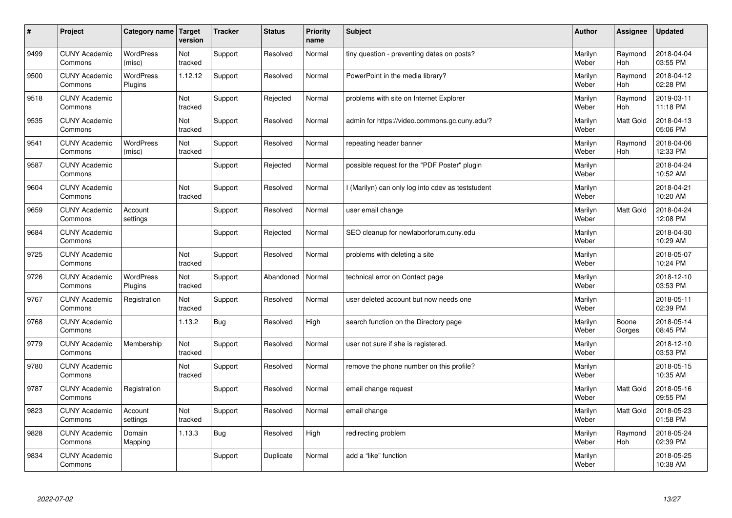| #    | Project                         | Category name   Target      | version        | <b>Tracker</b> | <b>Status</b> | <b>Priority</b><br>name | <b>Subject</b>                                    | <b>Author</b>    | <b>Assignee</b>       | <b>Updated</b>         |
|------|---------------------------------|-----------------------------|----------------|----------------|---------------|-------------------------|---------------------------------------------------|------------------|-----------------------|------------------------|
| 9499 | <b>CUNY Academic</b><br>Commons | <b>WordPress</b><br>(misc)  | Not<br>tracked | Support        | Resolved      | Normal                  | tiny question - preventing dates on posts?        | Marilyn<br>Weber | Raymond<br><b>Hoh</b> | 2018-04-04<br>03:55 PM |
| 9500 | <b>CUNY Academic</b><br>Commons | <b>WordPress</b><br>Plugins | 1.12.12        | Support        | Resolved      | Normal                  | PowerPoint in the media library?                  | Marilyn<br>Weber | Raymond<br>Hoh        | 2018-04-12<br>02:28 PM |
| 9518 | <b>CUNY Academic</b><br>Commons |                             | Not<br>tracked | Support        | Rejected      | Normal                  | problems with site on Internet Explorer           | Marilyn<br>Weber | Raymond<br><b>Hoh</b> | 2019-03-11<br>11:18 PM |
| 9535 | <b>CUNY Academic</b><br>Commons |                             | Not<br>tracked | Support        | Resolved      | Normal                  | admin for https://video.commons.gc.cuny.edu/?     | Marilyn<br>Weber | Matt Gold             | 2018-04-13<br>05:06 PM |
| 9541 | <b>CUNY Academic</b><br>Commons | <b>WordPress</b><br>(misc)  | Not<br>tracked | Support        | Resolved      | Normal                  | repeating header banner                           | Marilyn<br>Weber | Raymond<br><b>Hoh</b> | 2018-04-06<br>12:33 PM |
| 9587 | <b>CUNY Academic</b><br>Commons |                             |                | Support        | Rejected      | Normal                  | possible request for the "PDF Poster" plugin      | Marilyn<br>Weber |                       | 2018-04-24<br>10:52 AM |
| 9604 | <b>CUNY Academic</b><br>Commons |                             | Not<br>tracked | Support        | Resolved      | Normal                  | I (Marilyn) can only log into cdev as teststudent | Marilyn<br>Weber |                       | 2018-04-21<br>10:20 AM |
| 9659 | <b>CUNY Academic</b><br>Commons | Account<br>settings         |                | Support        | Resolved      | Normal                  | user email change                                 | Marilyn<br>Weber | Matt Gold             | 2018-04-24<br>12:08 PM |
| 9684 | <b>CUNY Academic</b><br>Commons |                             |                | Support        | Rejected      | Normal                  | SEO cleanup for newlaborforum.cuny.edu            | Marilyn<br>Weber |                       | 2018-04-30<br>10:29 AM |
| 9725 | <b>CUNY Academic</b><br>Commons |                             | Not<br>tracked | Support        | Resolved      | Normal                  | problems with deleting a site                     | Marilyn<br>Weber |                       | 2018-05-07<br>10:24 PM |
| 9726 | <b>CUNY Academic</b><br>Commons | <b>WordPress</b><br>Plugins | Not<br>tracked | Support        | Abandoned     | Normal                  | technical error on Contact page                   | Marilyn<br>Weber |                       | 2018-12-10<br>03:53 PM |
| 9767 | <b>CUNY Academic</b><br>Commons | Registration                | Not<br>tracked | Support        | Resolved      | Normal                  | user deleted account but now needs one            | Marilyn<br>Weber |                       | 2018-05-11<br>02:39 PM |
| 9768 | <b>CUNY Academic</b><br>Commons |                             | 1.13.2         | Bug            | Resolved      | High                    | search function on the Directory page             | Marilyn<br>Weber | Boone<br>Gorges       | 2018-05-14<br>08:45 PM |
| 9779 | <b>CUNY Academic</b><br>Commons | Membership                  | Not<br>tracked | Support        | Resolved      | Normal                  | user not sure if she is registered.               | Marilyn<br>Weber |                       | 2018-12-10<br>03:53 PM |
| 9780 | <b>CUNY Academic</b><br>Commons |                             | Not<br>tracked | Support        | Resolved      | Normal                  | remove the phone number on this profile?          | Marilyn<br>Weber |                       | 2018-05-15<br>10:35 AM |
| 9787 | <b>CUNY Academic</b><br>Commons | Registration                |                | Support        | Resolved      | Normal                  | email change request                              | Marilyn<br>Weber | <b>Matt Gold</b>      | 2018-05-16<br>09:55 PM |
| 9823 | <b>CUNY Academic</b><br>Commons | Account<br>settings         | Not<br>tracked | Support        | Resolved      | Normal                  | email change                                      | Marilyn<br>Weber | Matt Gold             | 2018-05-23<br>01:58 PM |
| 9828 | <b>CUNY Academic</b><br>Commons | Domain<br>Mapping           | 1.13.3         | <b>Bug</b>     | Resolved      | High                    | redirecting problem                               | Marilyn<br>Weber | Raymond<br><b>Hoh</b> | 2018-05-24<br>02:39 PM |
| 9834 | <b>CUNY Academic</b><br>Commons |                             |                | Support        | Duplicate     | Normal                  | add a "like" function                             | Marilyn<br>Weber |                       | 2018-05-25<br>10:38 AM |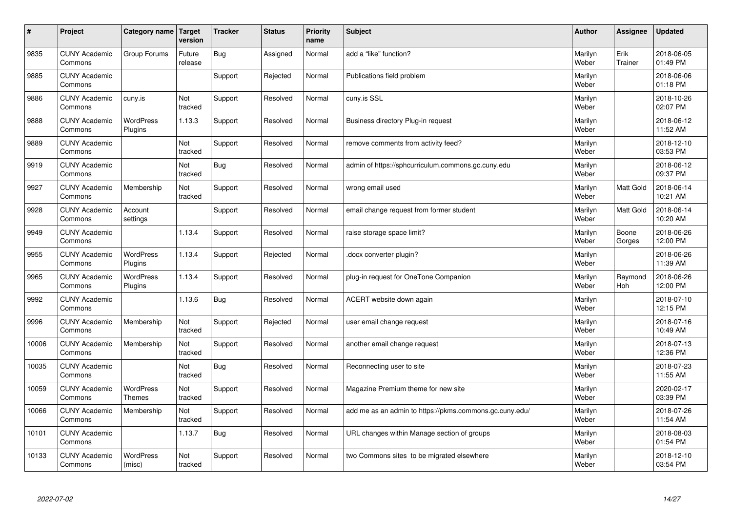| $\vert$ # | Project                         | Category name                     | Target<br>version | <b>Tracker</b> | <b>Status</b> | <b>Priority</b><br>name | <b>Subject</b>                                          | <b>Author</b>    | Assignee         | <b>Updated</b>         |
|-----------|---------------------------------|-----------------------------------|-------------------|----------------|---------------|-------------------------|---------------------------------------------------------|------------------|------------------|------------------------|
| 9835      | <b>CUNY Academic</b><br>Commons | Group Forums                      | Future<br>release | <b>Bug</b>     | Assigned      | Normal                  | add a "like" function?                                  | Marilyn<br>Weber | Erik<br>Trainer  | 2018-06-05<br>01:49 PM |
| 9885      | <b>CUNY Academic</b><br>Commons |                                   |                   | Support        | Rejected      | Normal                  | Publications field problem                              | Marilyn<br>Weber |                  | 2018-06-06<br>01:18 PM |
| 9886      | <b>CUNY Academic</b><br>Commons | cuny.is                           | Not<br>tracked    | Support        | Resolved      | Normal                  | cuny.is SSL                                             | Marilyn<br>Weber |                  | 2018-10-26<br>02:07 PM |
| 9888      | <b>CUNY Academic</b><br>Commons | <b>WordPress</b><br>Plugins       | 1.13.3            | Support        | Resolved      | Normal                  | Business directory Plug-in request                      | Marilyn<br>Weber |                  | 2018-06-12<br>11:52 AM |
| 9889      | <b>CUNY Academic</b><br>Commons |                                   | Not<br>tracked    | Support        | Resolved      | Normal                  | remove comments from activity feed?                     | Marilyn<br>Weber |                  | 2018-12-10<br>03:53 PM |
| 9919      | <b>CUNY Academic</b><br>Commons |                                   | Not<br>tracked    | Bug            | Resolved      | Normal                  | admin of https://sphcurriculum.commons.gc.cuny.edu      | Marilyn<br>Weber |                  | 2018-06-12<br>09:37 PM |
| 9927      | <b>CUNY Academic</b><br>Commons | Membership                        | Not<br>tracked    | Support        | Resolved      | Normal                  | wrong email used                                        | Marilyn<br>Weber | <b>Matt Gold</b> | 2018-06-14<br>10:21 AM |
| 9928      | <b>CUNY Academic</b><br>Commons | Account<br>settings               |                   | Support        | Resolved      | Normal                  | email change request from former student                | Marilyn<br>Weber | <b>Matt Gold</b> | 2018-06-14<br>10:20 AM |
| 9949      | <b>CUNY Academic</b><br>Commons |                                   | 1.13.4            | Support        | Resolved      | Normal                  | raise storage space limit?                              | Marilyn<br>Weber | Boone<br>Gorges  | 2018-06-26<br>12:00 PM |
| 9955      | <b>CUNY Academic</b><br>Commons | WordPress<br>Plugins              | 1.13.4            | Support        | Rejected      | Normal                  | docx converter plugin?                                  | Marilyn<br>Weber |                  | 2018-06-26<br>11:39 AM |
| 9965      | <b>CUNY Academic</b><br>Commons | <b>WordPress</b><br>Plugins       | 1.13.4            | Support        | Resolved      | Normal                  | plug-in request for OneTone Companion                   | Marilyn<br>Weber | Raymond<br>Hoh   | 2018-06-26<br>12:00 PM |
| 9992      | <b>CUNY Academic</b><br>Commons |                                   | 1.13.6            | Bug            | Resolved      | Normal                  | ACERT website down again                                | Marilyn<br>Weber |                  | 2018-07-10<br>12:15 PM |
| 9996      | <b>CUNY Academic</b><br>Commons | Membership                        | Not<br>tracked    | Support        | Rejected      | Normal                  | user email change request                               | Marilyn<br>Weber |                  | 2018-07-16<br>10:49 AM |
| 10006     | <b>CUNY Academic</b><br>Commons | Membership                        | Not<br>tracked    | Support        | Resolved      | Normal                  | another email change request                            | Marilyn<br>Weber |                  | 2018-07-13<br>12:36 PM |
| 10035     | <b>CUNY Academic</b><br>Commons |                                   | Not<br>tracked    | Bug            | Resolved      | Normal                  | Reconnecting user to site                               | Marilyn<br>Weber |                  | 2018-07-23<br>11:55 AM |
| 10059     | <b>CUNY Academic</b><br>Commons | <b>WordPress</b><br><b>Themes</b> | Not<br>tracked    | Support        | Resolved      | Normal                  | Magazine Premium theme for new site                     | Marilyn<br>Weber |                  | 2020-02-17<br>03:39 PM |
| 10066     | <b>CUNY Academic</b><br>Commons | Membership                        | Not<br>tracked    | Support        | Resolved      | Normal                  | add me as an admin to https://pkms.commons.gc.cuny.edu/ | Marilyn<br>Weber |                  | 2018-07-26<br>11:54 AM |
| 10101     | <b>CUNY Academic</b><br>Commons |                                   | 1.13.7            | <b>Bug</b>     | Resolved      | Normal                  | URL changes within Manage section of groups             | Marilyn<br>Weber |                  | 2018-08-03<br>01:54 PM |
| 10133     | <b>CUNY Academic</b><br>Commons | <b>WordPress</b><br>(misc)        | Not<br>tracked    | Support        | Resolved      | Normal                  | two Commons sites to be migrated elsewhere              | Marilyn<br>Weber |                  | 2018-12-10<br>03:54 PM |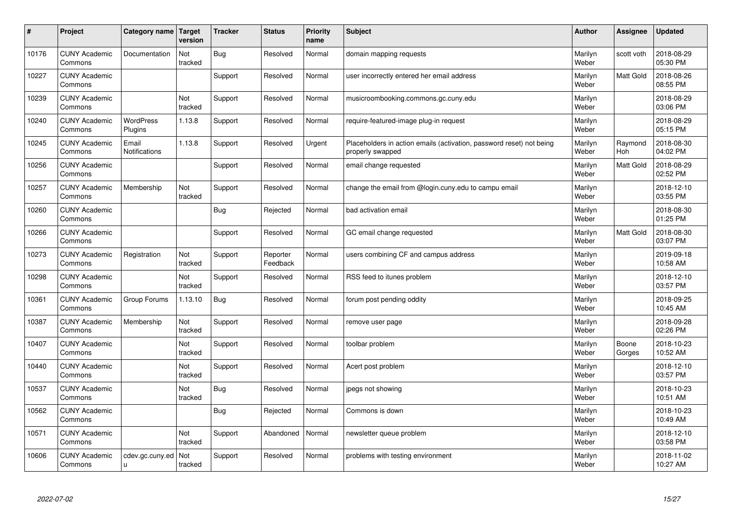| #     | Project                         | Category name               | Target<br>version | <b>Tracker</b> | <b>Status</b>        | <b>Priority</b><br>name | <b>Subject</b>                                                                           | <b>Author</b>    | Assignee        | <b>Updated</b>         |
|-------|---------------------------------|-----------------------------|-------------------|----------------|----------------------|-------------------------|------------------------------------------------------------------------------------------|------------------|-----------------|------------------------|
| 10176 | <b>CUNY Academic</b><br>Commons | Documentation               | Not<br>tracked    | <b>Bug</b>     | Resolved             | Normal                  | domain mapping requests                                                                  | Marilyn<br>Weber | scott voth      | 2018-08-29<br>05:30 PM |
| 10227 | <b>CUNY Academic</b><br>Commons |                             |                   | Support        | Resolved             | Normal                  | user incorrectly entered her email address                                               | Marilyn<br>Weber | Matt Gold       | 2018-08-26<br>08:55 PM |
| 10239 | <b>CUNY Academic</b><br>Commons |                             | Not<br>tracked    | Support        | Resolved             | Normal                  | musicroombooking.commons.gc.cuny.edu                                                     | Marilyn<br>Weber |                 | 2018-08-29<br>03:06 PM |
| 10240 | <b>CUNY Academic</b><br>Commons | <b>WordPress</b><br>Plugins | 1.13.8            | Support        | Resolved             | Normal                  | require-featured-image plug-in request                                                   | Marilyn<br>Weber |                 | 2018-08-29<br>05:15 PM |
| 10245 | <b>CUNY Academic</b><br>Commons | Email<br>Notifications      | 1.13.8            | Support        | Resolved             | Urgent                  | Placeholders in action emails (activation, password reset) not being<br>properly swapped | Marilyn<br>Weber | Raymond<br>Hoh  | 2018-08-30<br>04:02 PM |
| 10256 | <b>CUNY Academic</b><br>Commons |                             |                   | Support        | Resolved             | Normal                  | email change requested                                                                   | Marilyn<br>Weber | Matt Gold       | 2018-08-29<br>02:52 PM |
| 10257 | <b>CUNY Academic</b><br>Commons | Membership                  | Not<br>tracked    | Support        | Resolved             | Normal                  | change the email from @login.cuny.edu to campu email                                     | Marilyn<br>Weber |                 | 2018-12-10<br>03:55 PM |
| 10260 | <b>CUNY Academic</b><br>Commons |                             |                   | Bug            | Rejected             | Normal                  | bad activation email                                                                     | Marilyn<br>Weber |                 | 2018-08-30<br>01:25 PM |
| 10266 | <b>CUNY Academic</b><br>Commons |                             |                   | Support        | Resolved             | Normal                  | GC email change requested                                                                | Marilyn<br>Weber | Matt Gold       | 2018-08-30<br>03:07 PM |
| 10273 | <b>CUNY Academic</b><br>Commons | Registration                | Not<br>tracked    | Support        | Reporter<br>Feedback | Normal                  | users combining CF and campus address                                                    | Marilyn<br>Weber |                 | 2019-09-18<br>10:58 AM |
| 10298 | <b>CUNY Academic</b><br>Commons |                             | Not<br>tracked    | Support        | Resolved             | Normal                  | RSS feed to itunes problem                                                               | Marilyn<br>Weber |                 | 2018-12-10<br>03:57 PM |
| 10361 | <b>CUNY Academic</b><br>Commons | Group Forums                | 1.13.10           | <b>Bug</b>     | Resolved             | Normal                  | forum post pending oddity                                                                | Marilyn<br>Weber |                 | 2018-09-25<br>10:45 AM |
| 10387 | <b>CUNY Academic</b><br>Commons | Membership                  | Not<br>tracked    | Support        | Resolved             | Normal                  | remove user page                                                                         | Marilyn<br>Weber |                 | 2018-09-28<br>02:26 PM |
| 10407 | <b>CUNY Academic</b><br>Commons |                             | Not<br>tracked    | Support        | Resolved             | Normal                  | toolbar problem                                                                          | Marilyn<br>Weber | Boone<br>Gorges | 2018-10-23<br>10:52 AM |
| 10440 | <b>CUNY Academic</b><br>Commons |                             | Not<br>tracked    | Support        | Resolved             | Normal                  | Acert post problem                                                                       | Marilyn<br>Weber |                 | 2018-12-10<br>03:57 PM |
| 10537 | <b>CUNY Academic</b><br>Commons |                             | Not<br>tracked    | <b>Bug</b>     | Resolved             | Normal                  | jpegs not showing                                                                        | Marilyn<br>Weber |                 | 2018-10-23<br>10:51 AM |
| 10562 | <b>CUNY Academic</b><br>Commons |                             |                   | Bug            | Rejected             | Normal                  | Commons is down                                                                          | Marilyn<br>Weber |                 | 2018-10-23<br>10:49 AM |
| 10571 | <b>CUNY Academic</b><br>Commons |                             | Not<br>tracked    | Support        | Abandoned            | Normal                  | newsletter queue problem                                                                 | Marilyn<br>Weber |                 | 2018-12-10<br>03:58 PM |
| 10606 | <b>CUNY Academic</b><br>Commons | cdev.gc.cuny.ed<br>u.       | Not<br>tracked    | Support        | Resolved             | Normal                  | problems with testing environment                                                        | Marilyn<br>Weber |                 | 2018-11-02<br>10:27 AM |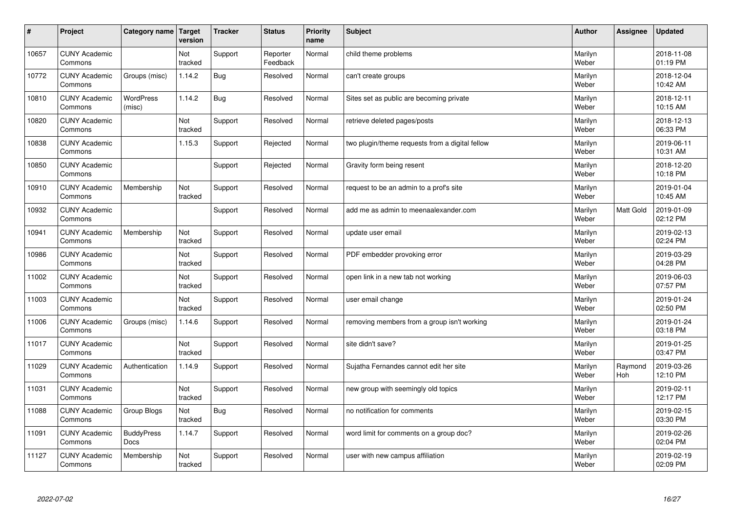| $\pmb{\#}$ | Project                         | Category name              | Target<br>version | <b>Tracker</b> | <b>Status</b>        | <b>Priority</b><br>name | <b>Subject</b>                                  | <b>Author</b>    | Assignee       | <b>Updated</b>         |
|------------|---------------------------------|----------------------------|-------------------|----------------|----------------------|-------------------------|-------------------------------------------------|------------------|----------------|------------------------|
| 10657      | <b>CUNY Academic</b><br>Commons |                            | Not<br>tracked    | Support        | Reporter<br>Feedback | Normal                  | child theme problems                            | Marilyn<br>Weber |                | 2018-11-08<br>01:19 PM |
| 10772      | <b>CUNY Academic</b><br>Commons | Groups (misc)              | 1.14.2            | <b>Bug</b>     | Resolved             | Normal                  | can't create groups                             | Marilyn<br>Weber |                | 2018-12-04<br>10:42 AM |
| 10810      | <b>CUNY Academic</b><br>Commons | <b>WordPress</b><br>(misc) | 1.14.2            | Bug            | Resolved             | Normal                  | Sites set as public are becoming private        | Marilyn<br>Weber |                | 2018-12-11<br>10:15 AM |
| 10820      | <b>CUNY Academic</b><br>Commons |                            | Not<br>tracked    | Support        | Resolved             | Normal                  | retrieve deleted pages/posts                    | Marilyn<br>Weber |                | 2018-12-13<br>06:33 PM |
| 10838      | <b>CUNY Academic</b><br>Commons |                            | 1.15.3            | Support        | Rejected             | Normal                  | two plugin/theme requests from a digital fellow | Marilyn<br>Weber |                | 2019-06-11<br>10:31 AM |
| 10850      | <b>CUNY Academic</b><br>Commons |                            |                   | Support        | Rejected             | Normal                  | Gravity form being resent                       | Marilyn<br>Weber |                | 2018-12-20<br>10:18 PM |
| 10910      | <b>CUNY Academic</b><br>Commons | Membership                 | Not<br>tracked    | Support        | Resolved             | Normal                  | request to be an admin to a prof's site         | Marilyn<br>Weber |                | 2019-01-04<br>10:45 AM |
| 10932      | <b>CUNY Academic</b><br>Commons |                            |                   | Support        | Resolved             | Normal                  | add me as admin to meenaalexander.com           | Marilyn<br>Weber | Matt Gold      | 2019-01-09<br>02:12 PM |
| 10941      | <b>CUNY Academic</b><br>Commons | Membership                 | Not<br>tracked    | Support        | Resolved             | Normal                  | update user email                               | Marilyn<br>Weber |                | 2019-02-13<br>02:24 PM |
| 10986      | <b>CUNY Academic</b><br>Commons |                            | Not<br>tracked    | Support        | Resolved             | Normal                  | PDF embedder provoking error                    | Marilyn<br>Weber |                | 2019-03-29<br>04:28 PM |
| 11002      | <b>CUNY Academic</b><br>Commons |                            | Not<br>tracked    | Support        | Resolved             | Normal                  | open link in a new tab not working              | Marilyn<br>Weber |                | 2019-06-03<br>07:57 PM |
| 11003      | <b>CUNY Academic</b><br>Commons |                            | Not<br>tracked    | Support        | Resolved             | Normal                  | user email change                               | Marilyn<br>Weber |                | 2019-01-24<br>02:50 PM |
| 11006      | <b>CUNY Academic</b><br>Commons | Groups (misc)              | 1.14.6            | Support        | Resolved             | Normal                  | removing members from a group isn't working     | Marilyn<br>Weber |                | 2019-01-24<br>03:18 PM |
| 11017      | <b>CUNY Academic</b><br>Commons |                            | Not<br>tracked    | Support        | Resolved             | Normal                  | site didn't save?                               | Marilyn<br>Weber |                | 2019-01-25<br>03:47 PM |
| 11029      | <b>CUNY Academic</b><br>Commons | Authentication             | 1.14.9            | Support        | Resolved             | Normal                  | Sujatha Fernandes cannot edit her site          | Marilyn<br>Weber | Raymond<br>Hoh | 2019-03-26<br>12:10 PM |
| 11031      | <b>CUNY Academic</b><br>Commons |                            | Not<br>tracked    | Support        | Resolved             | Normal                  | new group with seemingly old topics             | Marilyn<br>Weber |                | 2019-02-11<br>12:17 PM |
| 11088      | <b>CUNY Academic</b><br>Commons | Group Blogs                | Not<br>tracked    | <b>Bug</b>     | Resolved             | Normal                  | no notification for comments                    | Marilyn<br>Weber |                | 2019-02-15<br>03:30 PM |
| 11091      | <b>CUNY Academic</b><br>Commons | <b>BuddyPress</b><br>Docs  | 1.14.7            | Support        | Resolved             | Normal                  | word limit for comments on a group doc?         | Marilyn<br>Weber |                | 2019-02-26<br>02:04 PM |
| 11127      | <b>CUNY Academic</b><br>Commons | Membership                 | Not<br>tracked    | Support        | Resolved             | Normal                  | user with new campus affiliation                | Marilyn<br>Weber |                | 2019-02-19<br>02:09 PM |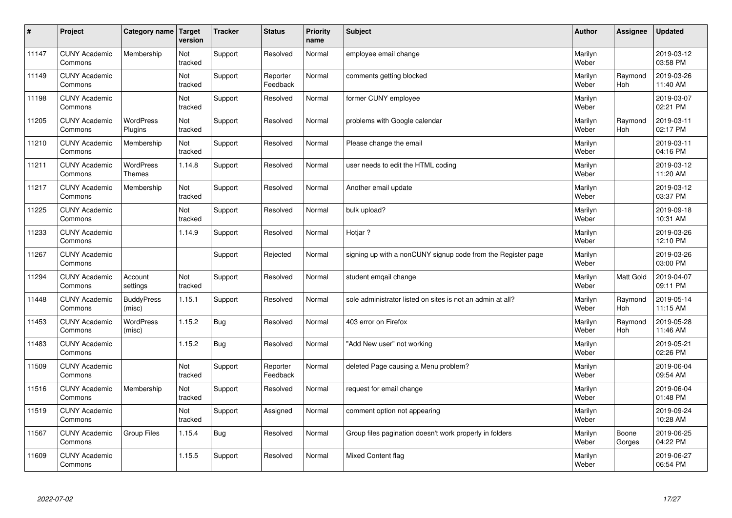| $\sharp$ | Project                         | Category name   Target            | version        | <b>Tracker</b> | <b>Status</b>        | <b>Priority</b><br>name | <b>Subject</b>                                               | <b>Author</b>    | Assignee              | <b>Updated</b>         |
|----------|---------------------------------|-----------------------------------|----------------|----------------|----------------------|-------------------------|--------------------------------------------------------------|------------------|-----------------------|------------------------|
| 11147    | <b>CUNY Academic</b><br>Commons | Membership                        | Not<br>tracked | Support        | Resolved             | Normal                  | employee email change                                        | Marilyn<br>Weber |                       | 2019-03-12<br>03:58 PM |
| 11149    | <b>CUNY Academic</b><br>Commons |                                   | Not<br>tracked | Support        | Reporter<br>Feedback | Normal                  | comments getting blocked                                     | Marilyn<br>Weber | Raymond<br><b>Hoh</b> | 2019-03-26<br>11:40 AM |
| 11198    | <b>CUNY Academic</b><br>Commons |                                   | Not<br>tracked | Support        | Resolved             | Normal                  | former CUNY employee                                         | Marilyn<br>Weber |                       | 2019-03-07<br>02:21 PM |
| 11205    | <b>CUNY Academic</b><br>Commons | <b>WordPress</b><br>Plugins       | Not<br>tracked | Support        | Resolved             | Normal                  | problems with Google calendar                                | Marilyn<br>Weber | Raymond<br>Hoh        | 2019-03-11<br>02:17 PM |
| 11210    | <b>CUNY Academic</b><br>Commons | Membership                        | Not<br>tracked | Support        | Resolved             | Normal                  | Please change the email                                      | Marilyn<br>Weber |                       | 2019-03-11<br>04:16 PM |
| 11211    | <b>CUNY Academic</b><br>Commons | <b>WordPress</b><br><b>Themes</b> | 1.14.8         | Support        | Resolved             | Normal                  | user needs to edit the HTML coding                           | Marilyn<br>Weber |                       | 2019-03-12<br>11:20 AM |
| 11217    | <b>CUNY Academic</b><br>Commons | Membership                        | Not<br>tracked | Support        | Resolved             | Normal                  | Another email update                                         | Marilyn<br>Weber |                       | 2019-03-12<br>03:37 PM |
| 11225    | <b>CUNY Academic</b><br>Commons |                                   | Not<br>tracked | Support        | Resolved             | Normal                  | bulk upload?                                                 | Marilyn<br>Weber |                       | 2019-09-18<br>10:31 AM |
| 11233    | <b>CUNY Academic</b><br>Commons |                                   | 1.14.9         | Support        | Resolved             | Normal                  | Hotjar?                                                      | Marilyn<br>Weber |                       | 2019-03-26<br>12:10 PM |
| 11267    | <b>CUNY Academic</b><br>Commons |                                   |                | Support        | Rejected             | Normal                  | signing up with a nonCUNY signup code from the Register page | Marilyn<br>Weber |                       | 2019-03-26<br>03:00 PM |
| 11294    | <b>CUNY Academic</b><br>Commons | Account<br>settings               | Not<br>tracked | Support        | Resolved             | Normal                  | student emgail change                                        | Marilyn<br>Weber | Matt Gold             | 2019-04-07<br>09:11 PM |
| 11448    | <b>CUNY Academic</b><br>Commons | <b>BuddyPress</b><br>(misc)       | 1.15.1         | Support        | Resolved             | Normal                  | sole administrator listed on sites is not an admin at all?   | Marilyn<br>Weber | Raymond<br><b>Hoh</b> | 2019-05-14<br>11:15 AM |
| 11453    | <b>CUNY Academic</b><br>Commons | <b>WordPress</b><br>(misc)        | 1.15.2         | Bug            | Resolved             | Normal                  | 403 error on Firefox                                         | Marilyn<br>Weber | Raymond<br>Hoh        | 2019-05-28<br>11:46 AM |
| 11483    | <b>CUNY Academic</b><br>Commons |                                   | 1.15.2         | Bug            | Resolved             | Normal                  | "Add New user" not working                                   | Marilyn<br>Weber |                       | 2019-05-21<br>02:26 PM |
| 11509    | <b>CUNY Academic</b><br>Commons |                                   | Not<br>tracked | Support        | Reporter<br>Feedback | Normal                  | deleted Page causing a Menu problem?                         | Marilyn<br>Weber |                       | 2019-06-04<br>09:54 AM |
| 11516    | <b>CUNY Academic</b><br>Commons | Membership                        | Not<br>tracked | Support        | Resolved             | Normal                  | request for email change                                     | Marilyn<br>Weber |                       | 2019-06-04<br>01:48 PM |
| 11519    | <b>CUNY Academic</b><br>Commons |                                   | Not<br>tracked | Support        | Assigned             | Normal                  | comment option not appearing                                 | Marilyn<br>Weber |                       | 2019-09-24<br>10:28 AM |
| 11567    | <b>CUNY Academic</b><br>Commons | Group Files                       | 1.15.4         | <b>Bug</b>     | Resolved             | Normal                  | Group files pagination doesn't work properly in folders      | Marilyn<br>Weber | Boone<br>Gorges       | 2019-06-25<br>04:22 PM |
| 11609    | <b>CUNY Academic</b><br>Commons |                                   | 1.15.5         | Support        | Resolved             | Normal                  | Mixed Content flag                                           | Marilyn<br>Weber |                       | 2019-06-27<br>06:54 PM |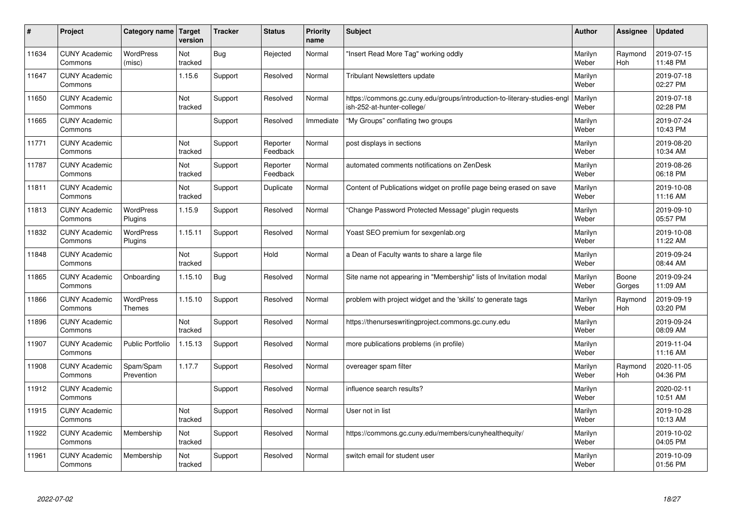| #     | Project                         | Category name               | <b>Target</b><br>version | <b>Tracker</b> | <b>Status</b>        | <b>Priority</b><br>name | <b>Subject</b>                                                                                        | <b>Author</b>    | Assignee              | <b>Updated</b>         |
|-------|---------------------------------|-----------------------------|--------------------------|----------------|----------------------|-------------------------|-------------------------------------------------------------------------------------------------------|------------------|-----------------------|------------------------|
| 11634 | <b>CUNY Academic</b><br>Commons | <b>WordPress</b><br>(misc)  | Not<br>tracked           | <b>Bug</b>     | Rejected             | Normal                  | 'Insert Read More Tag" working oddly                                                                  | Marilyn<br>Weber | Raymond<br>Hoh        | 2019-07-15<br>11:48 PM |
| 11647 | <b>CUNY Academic</b><br>Commons |                             | 1.15.6                   | Support        | Resolved             | Normal                  | <b>Tribulant Newsletters update</b>                                                                   | Marilyn<br>Weber |                       | 2019-07-18<br>02:27 PM |
| 11650 | <b>CUNY Academic</b><br>Commons |                             | Not<br>tracked           | Support        | Resolved             | Normal                  | https://commons.gc.cuny.edu/groups/introduction-to-literary-studies-eng<br>ish-252-at-hunter-college/ | Marilyn<br>Weber |                       | 2019-07-18<br>02:28 PM |
| 11665 | <b>CUNY Academic</b><br>Commons |                             |                          | Support        | Resolved             | Immediate               | 'My Groups" conflating two groups                                                                     | Marilyn<br>Weber |                       | 2019-07-24<br>10:43 PM |
| 11771 | <b>CUNY Academic</b><br>Commons |                             | Not<br>tracked           | Support        | Reporter<br>Feedback | Normal                  | post displays in sections                                                                             | Marilyn<br>Weber |                       | 2019-08-20<br>10:34 AM |
| 11787 | <b>CUNY Academic</b><br>Commons |                             | Not<br>tracked           | Support        | Reporter<br>Feedback | Normal                  | automated comments notifications on ZenDesk                                                           | Marilyn<br>Weber |                       | 2019-08-26<br>06:18 PM |
| 11811 | <b>CUNY Academic</b><br>Commons |                             | Not<br>tracked           | Support        | Duplicate            | Normal                  | Content of Publications widget on profile page being erased on save                                   | Marilyn<br>Weber |                       | 2019-10-08<br>11:16 AM |
| 11813 | <b>CUNY Academic</b><br>Commons | WordPress<br>Plugins        | 1.15.9                   | Support        | Resolved             | Normal                  | 'Change Password Protected Message" plugin requests                                                   | Marilyn<br>Weber |                       | 2019-09-10<br>05:57 PM |
| 11832 | <b>CUNY Academic</b><br>Commons | <b>WordPress</b><br>Plugins | 1.15.11                  | Support        | Resolved             | Normal                  | Yoast SEO premium for sexgenlab.org                                                                   | Marilyn<br>Weber |                       | 2019-10-08<br>11:22 AM |
| 11848 | <b>CUNY Academic</b><br>Commons |                             | Not<br>tracked           | Support        | Hold                 | Normal                  | a Dean of Faculty wants to share a large file                                                         | Marilyn<br>Weber |                       | 2019-09-24<br>08:44 AM |
| 11865 | <b>CUNY Academic</b><br>Commons | Onboarding                  | 1.15.10                  | Bug            | Resolved             | Normal                  | Site name not appearing in "Membership" lists of Invitation modal                                     | Marilyn<br>Weber | Boone<br>Gorges       | 2019-09-24<br>11:09 AM |
| 11866 | <b>CUNY Academic</b><br>Commons | WordPress<br><b>Themes</b>  | 1.15.10                  | Support        | Resolved             | Normal                  | problem with project widget and the 'skills' to generate tags                                         | Marilyn<br>Weber | Raymond<br><b>Hoh</b> | 2019-09-19<br>03:20 PM |
| 11896 | <b>CUNY Academic</b><br>Commons |                             | Not<br>tracked           | Support        | Resolved             | Normal                  | https://thenurseswritingproject.commons.gc.cuny.edu                                                   | Marilyn<br>Weber |                       | 2019-09-24<br>08:09 AM |
| 11907 | <b>CUNY Academic</b><br>Commons | Public Portfolio            | 1.15.13                  | Support        | Resolved             | Normal                  | more publications problems (in profile)                                                               | Marilyn<br>Weber |                       | 2019-11-04<br>11:16 AM |
| 11908 | <b>CUNY Academic</b><br>Commons | Spam/Spam<br>Prevention     | 1.17.7                   | Support        | Resolved             | Normal                  | overeager spam filter                                                                                 | Marilyn<br>Weber | Raymond<br>Hoh        | 2020-11-05<br>04:36 PM |
| 11912 | <b>CUNY Academic</b><br>Commons |                             |                          | Support        | Resolved             | Normal                  | influence search results?                                                                             | Marilyn<br>Weber |                       | 2020-02-11<br>10:51 AM |
| 11915 | <b>CUNY Academic</b><br>Commons |                             | Not<br>tracked           | Support        | Resolved             | Normal                  | User not in list                                                                                      | Marilyn<br>Weber |                       | 2019-10-28<br>10:13 AM |
| 11922 | <b>CUNY Academic</b><br>Commons | Membership                  | Not<br>tracked           | Support        | Resolved             | Normal                  | https://commons.gc.cuny.edu/members/cunyhealthequity/                                                 | Marilyn<br>Weber |                       | 2019-10-02<br>04:05 PM |
| 11961 | <b>CUNY Academic</b><br>Commons | Membership                  | Not<br>tracked           | Support        | Resolved             | Normal                  | switch email for student user                                                                         | Marilyn<br>Weber |                       | 2019-10-09<br>01:56 PM |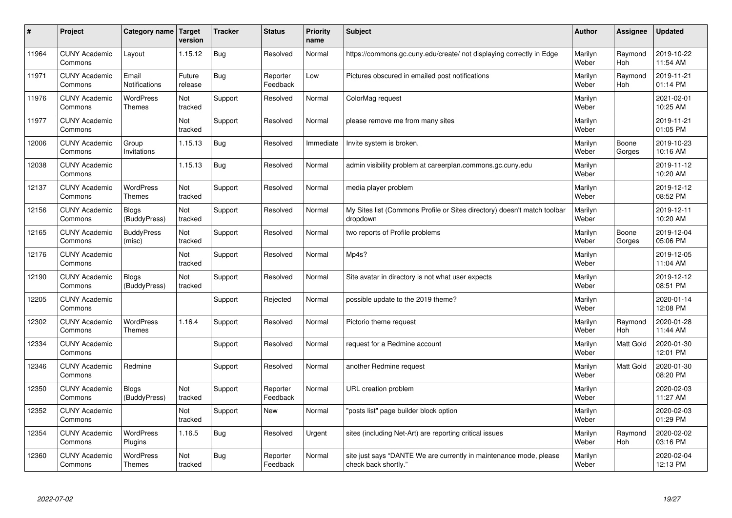| #     | Project                         | Category name   Target            | version           | <b>Tracker</b> | <b>Status</b>        | <b>Priority</b><br>name | <b>Subject</b>                                                                             | <b>Author</b>    | <b>Assignee</b>  | <b>Updated</b>         |
|-------|---------------------------------|-----------------------------------|-------------------|----------------|----------------------|-------------------------|--------------------------------------------------------------------------------------------|------------------|------------------|------------------------|
| 11964 | <b>CUNY Academic</b><br>Commons | Layout                            | 1.15.12           | <b>Bug</b>     | Resolved             | Normal                  | https://commons.gc.cuny.edu/create/ not displaying correctly in Edge                       | Marilyn<br>Weber | Raymond<br>Hoh   | 2019-10-22<br>11:54 AM |
| 11971 | <b>CUNY Academic</b><br>Commons | Email<br>Notifications            | Future<br>release | Bug            | Reporter<br>Feedback | Low                     | Pictures obscured in emailed post notifications                                            | Marilyn<br>Weber | Raymond<br>Hoh   | 2019-11-21<br>01:14 PM |
| 11976 | <b>CUNY Academic</b><br>Commons | WordPress<br><b>Themes</b>        | Not<br>tracked    | Support        | Resolved             | Normal                  | ColorMag request                                                                           | Marilyn<br>Weber |                  | 2021-02-01<br>10:25 AM |
| 11977 | <b>CUNY Academic</b><br>Commons |                                   | Not<br>tracked    | Support        | Resolved             | Normal                  | please remove me from many sites                                                           | Marilyn<br>Weber |                  | 2019-11-21<br>01:05 PM |
| 12006 | <b>CUNY Academic</b><br>Commons | Group<br>Invitations              | 1.15.13           | Bug            | Resolved             | Immediate               | Invite system is broken.                                                                   | Marilyn<br>Weber | Boone<br>Gorges  | 2019-10-23<br>10:16 AM |
| 12038 | <b>CUNY Academic</b><br>Commons |                                   | 1.15.13           | Bug            | Resolved             | Normal                  | admin visibility problem at careerplan.commons.gc.cuny.edu                                 | Marilyn<br>Weber |                  | 2019-11-12<br>10:20 AM |
| 12137 | <b>CUNY Academic</b><br>Commons | <b>WordPress</b><br><b>Themes</b> | Not<br>tracked    | Support        | Resolved             | Normal                  | media player problem                                                                       | Marilyn<br>Weber |                  | 2019-12-12<br>08:52 PM |
| 12156 | <b>CUNY Academic</b><br>Commons | <b>Blogs</b><br>(BuddyPress)      | Not<br>tracked    | Support        | Resolved             | Normal                  | My Sites list (Commons Profile or Sites directory) doesn't match toolbar<br>dropdown       | Marilyn<br>Weber |                  | 2019-12-11<br>10:20 AM |
| 12165 | <b>CUNY Academic</b><br>Commons | <b>BuddyPress</b><br>(misc)       | Not<br>tracked    | Support        | Resolved             | Normal                  | two reports of Profile problems                                                            | Marilyn<br>Weber | Boone<br>Gorges  | 2019-12-04<br>05:06 PM |
| 12176 | <b>CUNY Academic</b><br>Commons |                                   | Not<br>tracked    | Support        | Resolved             | Normal                  | Mp4s?                                                                                      | Marilyn<br>Weber |                  | 2019-12-05<br>11:04 AM |
| 12190 | <b>CUNY Academic</b><br>Commons | <b>Blogs</b><br>(BuddyPress)      | Not<br>tracked    | Support        | Resolved             | Normal                  | Site avatar in directory is not what user expects                                          | Marilyn<br>Weber |                  | 2019-12-12<br>08:51 PM |
| 12205 | <b>CUNY Academic</b><br>Commons |                                   |                   | Support        | Rejected             | Normal                  | possible update to the 2019 theme?                                                         | Marilyn<br>Weber |                  | 2020-01-14<br>12:08 PM |
| 12302 | <b>CUNY Academic</b><br>Commons | <b>WordPress</b><br><b>Themes</b> | 1.16.4            | Support        | Resolved             | Normal                  | Pictorio theme request                                                                     | Marilyn<br>Weber | Raymond<br>Hoh   | 2020-01-28<br>11:44 AM |
| 12334 | <b>CUNY Academic</b><br>Commons |                                   |                   | Support        | Resolved             | Normal                  | request for a Redmine account                                                              | Marilyn<br>Weber | <b>Matt Gold</b> | 2020-01-30<br>12:01 PM |
| 12346 | <b>CUNY Academic</b><br>Commons | Redmine                           |                   | Support        | Resolved             | Normal                  | another Redmine request                                                                    | Marilyn<br>Weber | Matt Gold        | 2020-01-30<br>08:20 PM |
| 12350 | <b>CUNY Academic</b><br>Commons | <b>Blogs</b><br>(BuddyPress)      | Not<br>tracked    | Support        | Reporter<br>Feedback | Normal                  | URL creation problem                                                                       | Marilyn<br>Weber |                  | 2020-02-03<br>11:27 AM |
| 12352 | <b>CUNY Academic</b><br>Commons |                                   | Not<br>tracked    | Support        | <b>New</b>           | Normal                  | 'posts list" page builder block option                                                     | Marilyn<br>Weber |                  | 2020-02-03<br>01:29 PM |
| 12354 | <b>CUNY Academic</b><br>Commons | WordPress<br>Plugins              | 1.16.5            | <b>Bug</b>     | Resolved             | Urgent                  | sites (including Net-Art) are reporting critical issues                                    | Marilyn<br>Weber | Raymond<br>Hoh   | 2020-02-02<br>03:16 PM |
| 12360 | <b>CUNY Academic</b><br>Commons | WordPress<br><b>Themes</b>        | Not<br>tracked    | <b>Bug</b>     | Reporter<br>Feedback | Normal                  | site just says "DANTE We are currently in maintenance mode, please<br>check back shortly." | Marilyn<br>Weber |                  | 2020-02-04<br>12:13 PM |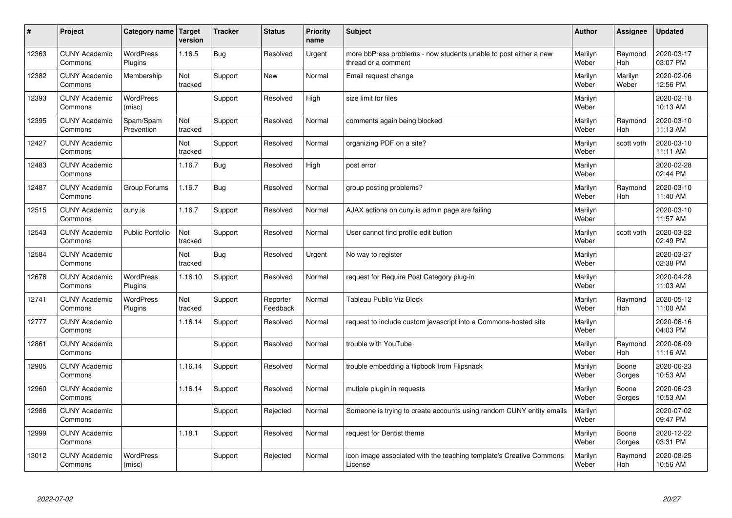| #     | Project                         | Category name   Target      | version        | <b>Tracker</b> | <b>Status</b>        | <b>Priority</b><br>name | <b>Subject</b>                                                                          | <b>Author</b>    | <b>Assignee</b>       | <b>Updated</b>         |
|-------|---------------------------------|-----------------------------|----------------|----------------|----------------------|-------------------------|-----------------------------------------------------------------------------------------|------------------|-----------------------|------------------------|
| 12363 | <b>CUNY Academic</b><br>Commons | <b>WordPress</b><br>Plugins | 1.16.5         | <b>Bug</b>     | Resolved             | Urgent                  | more bbPress problems - now students unable to post either a new<br>thread or a comment | Marilyn<br>Weber | Raymond<br>Hoh        | 2020-03-17<br>03:07 PM |
| 12382 | <b>CUNY Academic</b><br>Commons | Membership                  | Not<br>tracked | Support        | New                  | Normal                  | Email request change                                                                    | Marilyn<br>Weber | Marilyn<br>Weber      | 2020-02-06<br>12:56 PM |
| 12393 | <b>CUNY Academic</b><br>Commons | <b>WordPress</b><br>(misc)  |                | Support        | Resolved             | High                    | size limit for files                                                                    | Marilyn<br>Weber |                       | 2020-02-18<br>10:13 AM |
| 12395 | <b>CUNY Academic</b><br>Commons | Spam/Spam<br>Prevention     | Not<br>tracked | Support        | Resolved             | Normal                  | comments again being blocked                                                            | Marilyn<br>Weber | Raymond<br>Hoh        | 2020-03-10<br>11:13 AM |
| 12427 | <b>CUNY Academic</b><br>Commons |                             | Not<br>tracked | Support        | Resolved             | Normal                  | organizing PDF on a site?                                                               | Marilyn<br>Weber | scott voth            | 2020-03-10<br>11:11 AM |
| 12483 | <b>CUNY Academic</b><br>Commons |                             | 1.16.7         | <b>Bug</b>     | Resolved             | High                    | post error                                                                              | Marilyn<br>Weber |                       | 2020-02-28<br>02:44 PM |
| 12487 | <b>CUNY Academic</b><br>Commons | Group Forums                | 1.16.7         | Bug            | Resolved             | Normal                  | group posting problems?                                                                 | Marilyn<br>Weber | Raymond<br><b>Hoh</b> | 2020-03-10<br>11:40 AM |
| 12515 | <b>CUNY Academic</b><br>Commons | cuny.is                     | 1.16.7         | Support        | Resolved             | Normal                  | AJAX actions on cuny is admin page are failing                                          | Marilyn<br>Weber |                       | 2020-03-10<br>11:57 AM |
| 12543 | <b>CUNY Academic</b><br>Commons | <b>Public Portfolio</b>     | Not<br>tracked | Support        | Resolved             | Normal                  | User cannot find profile edit button                                                    | Marilyn<br>Weber | scott voth            | 2020-03-22<br>02:49 PM |
| 12584 | <b>CUNY Academic</b><br>Commons |                             | Not<br>tracked | <b>Bug</b>     | Resolved             | Urgent                  | No way to register                                                                      | Marilyn<br>Weber |                       | 2020-03-27<br>02:38 PM |
| 12676 | <b>CUNY Academic</b><br>Commons | <b>WordPress</b><br>Plugins | 1.16.10        | Support        | Resolved             | Normal                  | request for Require Post Category plug-in                                               | Marilyn<br>Weber |                       | 2020-04-28<br>11:03 AM |
| 12741 | <b>CUNY Academic</b><br>Commons | <b>WordPress</b><br>Plugins | Not<br>tracked | Support        | Reporter<br>Feedback | Normal                  | <b>Tableau Public Viz Block</b>                                                         | Marilyn<br>Weber | Raymond<br>Hoh        | 2020-05-12<br>11:00 AM |
| 12777 | <b>CUNY Academic</b><br>Commons |                             | 1.16.14        | Support        | Resolved             | Normal                  | request to include custom javascript into a Commons-hosted site                         | Marilyn<br>Weber |                       | 2020-06-16<br>04:03 PM |
| 12861 | <b>CUNY Academic</b><br>Commons |                             |                | Support        | Resolved             | Normal                  | trouble with YouTube                                                                    | Marilyn<br>Weber | Raymond<br>Hoh        | 2020-06-09<br>11:16 AM |
| 12905 | <b>CUNY Academic</b><br>Commons |                             | 1.16.14        | Support        | Resolved             | Normal                  | trouble embedding a flipbook from Flipsnack                                             | Marilyn<br>Weber | Boone<br>Gorges       | 2020-06-23<br>10:53 AM |
| 12960 | <b>CUNY Academic</b><br>Commons |                             | 1.16.14        | Support        | Resolved             | Normal                  | mutiple plugin in requests                                                              | Marilyn<br>Weber | Boone<br>Gorges       | 2020-06-23<br>10:53 AM |
| 12986 | <b>CUNY Academic</b><br>Commons |                             |                | Support        | Rejected             | Normal                  | Someone is trying to create accounts using random CUNY entity emails                    | Marilyn<br>Weber |                       | 2020-07-02<br>09:47 PM |
| 12999 | <b>CUNY Academic</b><br>Commons |                             | 1.18.1         | Support        | Resolved             | Normal                  | request for Dentist theme                                                               | Marilyn<br>Weber | Boone<br>Gorges       | 2020-12-22<br>03:31 PM |
| 13012 | <b>CUNY Academic</b><br>Commons | <b>WordPress</b><br>(misc)  |                | Support        | Rejected             | Normal                  | icon image associated with the teaching template's Creative Commons<br>License          | Marilyn<br>Weber | Raymond<br>Hoh        | 2020-08-25<br>10:56 AM |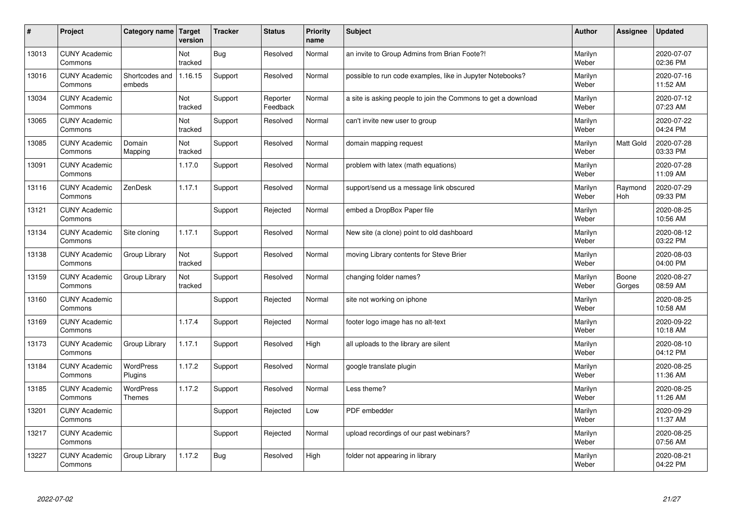| $\pmb{\sharp}$ | Project                         | Category name                     | Target<br>version | <b>Tracker</b> | <b>Status</b>        | <b>Priority</b><br>name | <b>Subject</b>                                                | <b>Author</b>    | Assignee        | <b>Updated</b>         |
|----------------|---------------------------------|-----------------------------------|-------------------|----------------|----------------------|-------------------------|---------------------------------------------------------------|------------------|-----------------|------------------------|
| 13013          | <b>CUNY Academic</b><br>Commons |                                   | Not<br>tracked    | <b>Bug</b>     | Resolved             | Normal                  | an invite to Group Admins from Brian Foote?!                  | Marilyn<br>Weber |                 | 2020-07-07<br>02:36 PM |
| 13016          | <b>CUNY Academic</b><br>Commons | Shortcodes and<br>embeds          | 1.16.15           | Support        | Resolved             | Normal                  | possible to run code examples, like in Jupyter Notebooks?     | Marilyn<br>Weber |                 | 2020-07-16<br>11:52 AM |
| 13034          | <b>CUNY Academic</b><br>Commons |                                   | Not<br>tracked    | Support        | Reporter<br>Feedback | Normal                  | a site is asking people to join the Commons to get a download | Marilyn<br>Weber |                 | 2020-07-12<br>07:23 AM |
| 13065          | <b>CUNY Academic</b><br>Commons |                                   | Not<br>tracked    | Support        | Resolved             | Normal                  | can't invite new user to group                                | Marilyn<br>Weber |                 | 2020-07-22<br>04:24 PM |
| 13085          | <b>CUNY Academic</b><br>Commons | Domain<br>Mapping                 | Not<br>tracked    | Support        | Resolved             | Normal                  | domain mapping request                                        | Marilyn<br>Weber | Matt Gold       | 2020-07-28<br>03:33 PM |
| 13091          | <b>CUNY Academic</b><br>Commons |                                   | 1.17.0            | Support        | Resolved             | Normal                  | problem with latex (math equations)                           | Marilyn<br>Weber |                 | 2020-07-28<br>11:09 AM |
| 13116          | <b>CUNY Academic</b><br>Commons | ZenDesk                           | 1.17.1            | Support        | Resolved             | Normal                  | support/send us a message link obscured                       | Marilyn<br>Weber | Raymond<br>Hoh  | 2020-07-29<br>09:33 PM |
| 13121          | <b>CUNY Academic</b><br>Commons |                                   |                   | Support        | Rejected             | Normal                  | embed a DropBox Paper file                                    | Marilyn<br>Weber |                 | 2020-08-25<br>10:56 AM |
| 13134          | <b>CUNY Academic</b><br>Commons | Site cloning                      | 1.17.1            | Support        | Resolved             | Normal                  | New site (a clone) point to old dashboard                     | Marilyn<br>Weber |                 | 2020-08-12<br>03:22 PM |
| 13138          | <b>CUNY Academic</b><br>Commons | Group Library                     | Not<br>tracked    | Support        | Resolved             | Normal                  | moving Library contents for Steve Brier                       | Marilyn<br>Weber |                 | 2020-08-03<br>04:00 PM |
| 13159          | <b>CUNY Academic</b><br>Commons | Group Library                     | Not<br>tracked    | Support        | Resolved             | Normal                  | changing folder names?                                        | Marilyn<br>Weber | Boone<br>Gorges | 2020-08-27<br>08:59 AM |
| 13160          | <b>CUNY Academic</b><br>Commons |                                   |                   | Support        | Rejected             | Normal                  | site not working on iphone                                    | Marilyn<br>Weber |                 | 2020-08-25<br>10:58 AM |
| 13169          | <b>CUNY Academic</b><br>Commons |                                   | 1.17.4            | Support        | Rejected             | Normal                  | footer logo image has no alt-text                             | Marilyn<br>Weber |                 | 2020-09-22<br>10:18 AM |
| 13173          | <b>CUNY Academic</b><br>Commons | Group Library                     | 1.17.1            | Support        | Resolved             | High                    | all uploads to the library are silent                         | Marilyn<br>Weber |                 | 2020-08-10<br>04:12 PM |
| 13184          | <b>CUNY Academic</b><br>Commons | <b>WordPress</b><br>Plugins       | 1.17.2            | Support        | Resolved             | Normal                  | google translate plugin                                       | Marilyn<br>Weber |                 | 2020-08-25<br>11:36 AM |
| 13185          | <b>CUNY Academic</b><br>Commons | <b>WordPress</b><br><b>Themes</b> | 1.17.2            | Support        | Resolved             | Normal                  | Less theme?                                                   | Marilyn<br>Weber |                 | 2020-08-25<br>11:26 AM |
| 13201          | <b>CUNY Academic</b><br>Commons |                                   |                   | Support        | Rejected             | Low                     | <b>PDF</b> embedder                                           | Marilyn<br>Weber |                 | 2020-09-29<br>11:37 AM |
| 13217          | <b>CUNY Academic</b><br>Commons |                                   |                   | Support        | Rejected             | Normal                  | upload recordings of our past webinars?                       | Marilyn<br>Weber |                 | 2020-08-25<br>07:56 AM |
| 13227          | <b>CUNY Academic</b><br>Commons | Group Library                     | 1.17.2            | Bug            | Resolved             | High                    | folder not appearing in library                               | Marilyn<br>Weber |                 | 2020-08-21<br>04:22 PM |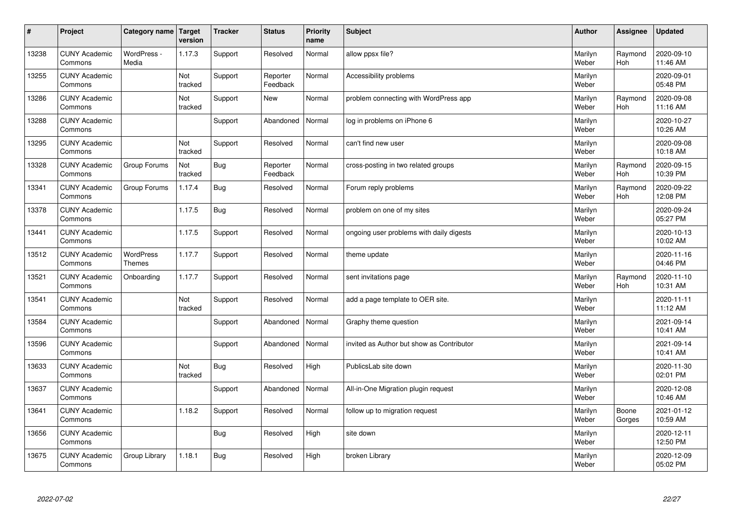| $\sharp$ | Project                         | Category name   Target     | version        | <b>Tracker</b> | <b>Status</b>        | <b>Priority</b><br>name | <b>Subject</b>                            | <b>Author</b>    | Assignee              | Updated                |
|----------|---------------------------------|----------------------------|----------------|----------------|----------------------|-------------------------|-------------------------------------------|------------------|-----------------------|------------------------|
| 13238    | <b>CUNY Academic</b><br>Commons | WordPress -<br>Media       | 1.17.3         | Support        | Resolved             | Normal                  | allow ppsx file?                          | Marilyn<br>Weber | Raymond<br><b>Hoh</b> | 2020-09-10<br>11:46 AM |
| 13255    | <b>CUNY Academic</b><br>Commons |                            | Not<br>tracked | Support        | Reporter<br>Feedback | Normal                  | Accessibility problems                    | Marilyn<br>Weber |                       | 2020-09-01<br>05:48 PM |
| 13286    | <b>CUNY Academic</b><br>Commons |                            | Not<br>tracked | Support        | <b>New</b>           | Normal                  | problem connecting with WordPress app     | Marilyn<br>Weber | Raymond<br><b>Hoh</b> | 2020-09-08<br>11:16 AM |
| 13288    | <b>CUNY Academic</b><br>Commons |                            |                | Support        | Abandoned            | Normal                  | log in problems on iPhone 6               | Marilyn<br>Weber |                       | 2020-10-27<br>10:26 AM |
| 13295    | <b>CUNY Academic</b><br>Commons |                            | Not<br>tracked | Support        | Resolved             | Normal                  | can't find new user                       | Marilyn<br>Weber |                       | 2020-09-08<br>10:18 AM |
| 13328    | <b>CUNY Academic</b><br>Commons | Group Forums               | Not<br>tracked | Bug            | Reporter<br>Feedback | Normal                  | cross-posting in two related groups       | Marilyn<br>Weber | Raymond<br>Hoh        | 2020-09-15<br>10:39 PM |
| 13341    | <b>CUNY Academic</b><br>Commons | Group Forums               | 1.17.4         | Bug            | Resolved             | Normal                  | Forum reply problems                      | Marilyn<br>Weber | Raymond<br>Hoh        | 2020-09-22<br>12:08 PM |
| 13378    | <b>CUNY Academic</b><br>Commons |                            | 1.17.5         | Bug            | Resolved             | Normal                  | problem on one of my sites                | Marilyn<br>Weber |                       | 2020-09-24<br>05:27 PM |
| 13441    | <b>CUNY Academic</b><br>Commons |                            | 1.17.5         | Support        | Resolved             | Normal                  | ongoing user problems with daily digests  | Marilyn<br>Weber |                       | 2020-10-13<br>10:02 AM |
| 13512    | <b>CUNY Academic</b><br>Commons | WordPress<br><b>Themes</b> | 1.17.7         | Support        | Resolved             | Normal                  | theme update                              | Marilyn<br>Weber |                       | 2020-11-16<br>04:46 PM |
| 13521    | <b>CUNY Academic</b><br>Commons | Onboarding                 | 1.17.7         | Support        | Resolved             | Normal                  | sent invitations page                     | Marilyn<br>Weber | Raymond<br>Hoh        | 2020-11-10<br>10:31 AM |
| 13541    | <b>CUNY Academic</b><br>Commons |                            | Not<br>tracked | Support        | Resolved             | Normal                  | add a page template to OER site.          | Marilyn<br>Weber |                       | 2020-11-11<br>11:12 AM |
| 13584    | <b>CUNY Academic</b><br>Commons |                            |                | Support        | Abandoned            | Normal                  | Graphy theme question                     | Marilyn<br>Weber |                       | 2021-09-14<br>10:41 AM |
| 13596    | <b>CUNY Academic</b><br>Commons |                            |                | Support        | Abandoned            | Normal                  | invited as Author but show as Contributor | Marilyn<br>Weber |                       | 2021-09-14<br>10:41 AM |
| 13633    | <b>CUNY Academic</b><br>Commons |                            | Not<br>tracked | Bug            | Resolved             | High                    | PublicsLab site down                      | Marilyn<br>Weber |                       | 2020-11-30<br>02:01 PM |
| 13637    | <b>CUNY Academic</b><br>Commons |                            |                | Support        | Abandoned            | Normal                  | All-in-One Migration plugin request       | Marilyn<br>Weber |                       | 2020-12-08<br>10:46 AM |
| 13641    | <b>CUNY Academic</b><br>Commons |                            | 1.18.2         | Support        | Resolved             | Normal                  | follow up to migration request            | Marilyn<br>Weber | Boone<br>Gorges       | 2021-01-12<br>10:59 AM |
| 13656    | <b>CUNY Academic</b><br>Commons |                            |                | <b>Bug</b>     | Resolved             | High                    | site down                                 | Marilyn<br>Weber |                       | 2020-12-11<br>12:50 PM |
| 13675    | <b>CUNY Academic</b><br>Commons | Group Library              | 1.18.1         | Bug            | Resolved             | High                    | broken Library                            | Marilyn<br>Weber |                       | 2020-12-09<br>05:02 PM |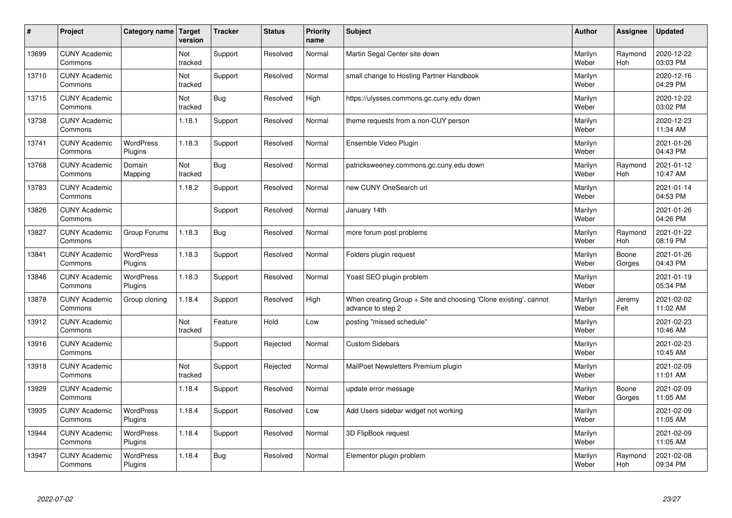| $\pmb{\sharp}$ | Project                         | Category name               | Target<br>version | <b>Tracker</b> | <b>Status</b> | <b>Priority</b><br>name | <b>Subject</b>                                                                        | <b>Author</b>    | Assignee        | <b>Updated</b>         |
|----------------|---------------------------------|-----------------------------|-------------------|----------------|---------------|-------------------------|---------------------------------------------------------------------------------------|------------------|-----------------|------------------------|
| 13699          | <b>CUNY Academic</b><br>Commons |                             | Not<br>tracked    | Support        | Resolved      | Normal                  | Martin Segal Center site down                                                         | Marilyn<br>Weber | Raymond<br>Hoh  | 2020-12-22<br>03:03 PM |
| 13710          | <b>CUNY Academic</b><br>Commons |                             | Not<br>tracked    | Support        | Resolved      | Normal                  | small change to Hosting Partner Handbook                                              | Marilyn<br>Weber |                 | 2020-12-16<br>04:29 PM |
| 13715          | <b>CUNY Academic</b><br>Commons |                             | Not<br>tracked    | <b>Bug</b>     | Resolved      | High                    | https://ulysses.commons.gc.cuny.edu down                                              | Marilyn<br>Weber |                 | 2020-12-22<br>03:02 PM |
| 13738          | <b>CUNY Academic</b><br>Commons |                             | 1.18.1            | Support        | Resolved      | Normal                  | theme requests from a non-CUY person                                                  | Marilyn<br>Weber |                 | 2020-12-23<br>11:34 AM |
| 13741          | <b>CUNY Academic</b><br>Commons | <b>WordPress</b><br>Plugins | 1.18.3            | Support        | Resolved      | Normal                  | Ensemble Video Plugin                                                                 | Marilyn<br>Weber |                 | 2021-01-26<br>04:43 PM |
| 13768          | <b>CUNY Academic</b><br>Commons | Domain<br>Mapping           | Not<br>tracked    | <b>Bug</b>     | Resolved      | Normal                  | patricksweeney.commons.gc.cuny.edu down                                               | Marilyn<br>Weber | Raymond<br>Hoh  | 2021-01-12<br>10:47 AM |
| 13783          | <b>CUNY Academic</b><br>Commons |                             | 1.18.2            | Support        | Resolved      | Normal                  | new CUNY OneSearch url                                                                | Marilyn<br>Weber |                 | 2021-01-14<br>04:53 PM |
| 13826          | <b>CUNY Academic</b><br>Commons |                             |                   | Support        | Resolved      | Normal                  | January 14th                                                                          | Marilyn<br>Weber |                 | 2021-01-26<br>04:26 PM |
| 13827          | <b>CUNY Academic</b><br>Commons | Group Forums                | 1.18.3            | Bug            | Resolved      | Normal                  | more forum post problems                                                              | Marilyn<br>Weber | Raymond<br>Hoh  | 2021-01-22<br>08:19 PM |
| 13841          | <b>CUNY Academic</b><br>Commons | WordPress<br>Plugins        | 1.18.3            | Support        | Resolved      | Normal                  | Folders plugin request                                                                | Marilyn<br>Weber | Boone<br>Gorges | 2021-01-26<br>04:43 PM |
| 13846          | <b>CUNY Academic</b><br>Commons | WordPress<br>Plugins        | 1.18.3            | Support        | Resolved      | Normal                  | Yoast SEO plugin problem                                                              | Marilyn<br>Weber |                 | 2021-01-19<br>05:34 PM |
| 13878          | <b>CUNY Academic</b><br>Commons | Group cloning               | 1.18.4            | Support        | Resolved      | High                    | When creating Group + Site and choosing 'Clone existing', cannot<br>advance to step 2 | Marilyn<br>Weber | Jeremy<br>Felt  | 2021-02-02<br>11:02 AM |
| 13912          | <b>CUNY Academic</b><br>Commons |                             | Not<br>tracked    | Feature        | Hold          | Low                     | posting "missed schedule"                                                             | Marilyn<br>Weber |                 | 2021-02-23<br>10:46 AM |
| 13916          | <b>CUNY Academic</b><br>Commons |                             |                   | Support        | Rejected      | Normal                  | <b>Custom Sidebars</b>                                                                | Marilyn<br>Weber |                 | 2021-02-23<br>10:45 AM |
| 13918          | <b>CUNY Academic</b><br>Commons |                             | Not<br>tracked    | Support        | Rejected      | Normal                  | MailPoet Newsletters Premium plugin                                                   | Marilyn<br>Weber |                 | 2021-02-09<br>11:01 AM |
| 13929          | <b>CUNY Academic</b><br>Commons |                             | 1.18.4            | Support        | Resolved      | Normal                  | update error message                                                                  | Marilyn<br>Weber | Boone<br>Gorges | 2021-02-09<br>11:05 AM |
| 13935          | <b>CUNY Academic</b><br>Commons | WordPress<br>Plugins        | 1.18.4            | Support        | Resolved      | Low                     | Add Users sidebar widget not working                                                  | Marilyn<br>Weber |                 | 2021-02-09<br>11:05 AM |
| 13944          | <b>CUNY Academic</b><br>Commons | WordPress<br>Plugins        | 1.18.4            | Support        | Resolved      | Normal                  | 3D FlipBook request                                                                   | Marilyn<br>Weber |                 | 2021-02-09<br>11:05 AM |
| 13947          | <b>CUNY Academic</b><br>Commons | <b>WordPress</b><br>Plugins | 1.18.4            | Bug            | Resolved      | Normal                  | Elementor plugin problem                                                              | Marilyn<br>Weber | Raymond<br>Hoh  | 2021-02-08<br>09:34 PM |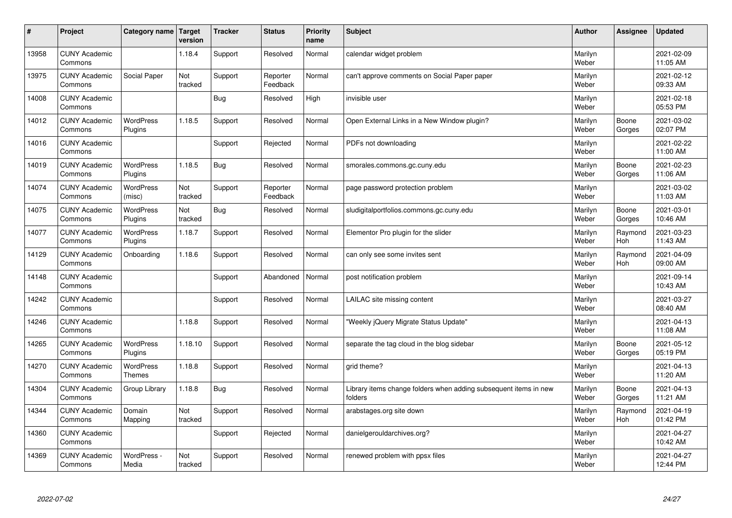| $\sharp$ | Project                         | Category name   Target             | version        | <b>Tracker</b> | <b>Status</b>        | <b>Priority</b><br>name | <b>Subject</b>                                                              | <b>Author</b>    | Assignee              | <b>Updated</b>         |
|----------|---------------------------------|------------------------------------|----------------|----------------|----------------------|-------------------------|-----------------------------------------------------------------------------|------------------|-----------------------|------------------------|
| 13958    | <b>CUNY Academic</b><br>Commons |                                    | 1.18.4         | Support        | Resolved             | Normal                  | calendar widget problem                                                     | Marilyn<br>Weber |                       | 2021-02-09<br>11:05 AM |
| 13975    | <b>CUNY Academic</b><br>Commons | Social Paper                       | Not<br>tracked | Support        | Reporter<br>Feedback | Normal                  | can't approve comments on Social Paper paper                                | Marilyn<br>Weber |                       | 2021-02-12<br>09:33 AM |
| 14008    | <b>CUNY Academic</b><br>Commons |                                    |                | <b>Bug</b>     | Resolved             | High                    | invisible user                                                              | Marilyn<br>Weber |                       | 2021-02-18<br>05:53 PM |
| 14012    | <b>CUNY Academic</b><br>Commons | <b>WordPress</b><br>Plugins        | 1.18.5         | Support        | Resolved             | Normal                  | Open External Links in a New Window plugin?                                 | Marilyn<br>Weber | Boone<br>Gorges       | 2021-03-02<br>02:07 PM |
| 14016    | <b>CUNY Academic</b><br>Commons |                                    |                | Support        | Rejected             | Normal                  | PDFs not downloading                                                        | Marilyn<br>Weber |                       | 2021-02-22<br>11:00 AM |
| 14019    | <b>CUNY Academic</b><br>Commons | <b>WordPress</b><br><b>Plugins</b> | 1.18.5         | <b>Bug</b>     | Resolved             | Normal                  | smorales.commons.gc.cuny.edu                                                | Marilyn<br>Weber | Boone<br>Gorges       | 2021-02-23<br>11:06 AM |
| 14074    | <b>CUNY Academic</b><br>Commons | <b>WordPress</b><br>(misc)         | Not<br>tracked | Support        | Reporter<br>Feedback | Normal                  | page password protection problem                                            | Marilyn<br>Weber |                       | 2021-03-02<br>11:03 AM |
| 14075    | <b>CUNY Academic</b><br>Commons | WordPress<br>Plugins               | Not<br>tracked | <b>Bug</b>     | Resolved             | Normal                  | sludigitalportfolios.commons.gc.cuny.edu                                    | Marilyn<br>Weber | Boone<br>Gorges       | 2021-03-01<br>10:46 AM |
| 14077    | <b>CUNY Academic</b><br>Commons | WordPress<br>Plugins               | 1.18.7         | Support        | Resolved             | Normal                  | Elementor Pro plugin for the slider                                         | Marilyn<br>Weber | Raymond<br>Hoh        | 2021-03-23<br>11:43 AM |
| 14129    | <b>CUNY Academic</b><br>Commons | Onboarding                         | 1.18.6         | Support        | Resolved             | Normal                  | can only see some invites sent                                              | Marilyn<br>Weber | Raymond<br><b>Hoh</b> | 2021-04-09<br>09:00 AM |
| 14148    | <b>CUNY Academic</b><br>Commons |                                    |                | Support        | Abandoned            | Normal                  | post notification problem                                                   | Marilyn<br>Weber |                       | 2021-09-14<br>10:43 AM |
| 14242    | <b>CUNY Academic</b><br>Commons |                                    |                | Support        | Resolved             | Normal                  | LAILAC site missing content                                                 | Marilyn<br>Weber |                       | 2021-03-27<br>08:40 AM |
| 14246    | <b>CUNY Academic</b><br>Commons |                                    | 1.18.8         | Support        | Resolved             | Normal                  | 'Weekly jQuery Migrate Status Update"                                       | Marilyn<br>Weber |                       | 2021-04-13<br>11:08 AM |
| 14265    | <b>CUNY Academic</b><br>Commons | WordPress<br>Plugins               | 1.18.10        | Support        | Resolved             | Normal                  | separate the tag cloud in the blog sidebar                                  | Marilyn<br>Weber | Boone<br>Gorges       | 2021-05-12<br>05:19 PM |
| 14270    | <b>CUNY Academic</b><br>Commons | WordPress<br><b>Themes</b>         | 1.18.8         | Support        | Resolved             | Normal                  | grid theme?                                                                 | Marilyn<br>Weber |                       | 2021-04-13<br>11:20 AM |
| 14304    | <b>CUNY Academic</b><br>Commons | Group Library                      | 1.18.8         | Bug            | Resolved             | Normal                  | Library items change folders when adding subsequent items in new<br>folders | Marilyn<br>Weber | Boone<br>Gorges       | 2021-04-13<br>11:21 AM |
| 14344    | <b>CUNY Academic</b><br>Commons | Domain<br>Mapping                  | Not<br>tracked | Support        | Resolved             | Normal                  | arabstages.org site down                                                    | Marilyn<br>Weber | Raymond<br><b>Hoh</b> | 2021-04-19<br>01:42 PM |
| 14360    | <b>CUNY Academic</b><br>Commons |                                    |                | Support        | Rejected             | Normal                  | danielgerouldarchives.org?                                                  | Marilyn<br>Weber |                       | 2021-04-27<br>10:42 AM |
| 14369    | <b>CUNY Academic</b><br>Commons | WordPress -<br>Media               | Not<br>tracked | Support        | Resolved             | Normal                  | renewed problem with ppsx files                                             | Marilyn<br>Weber |                       | 2021-04-27<br>12:44 PM |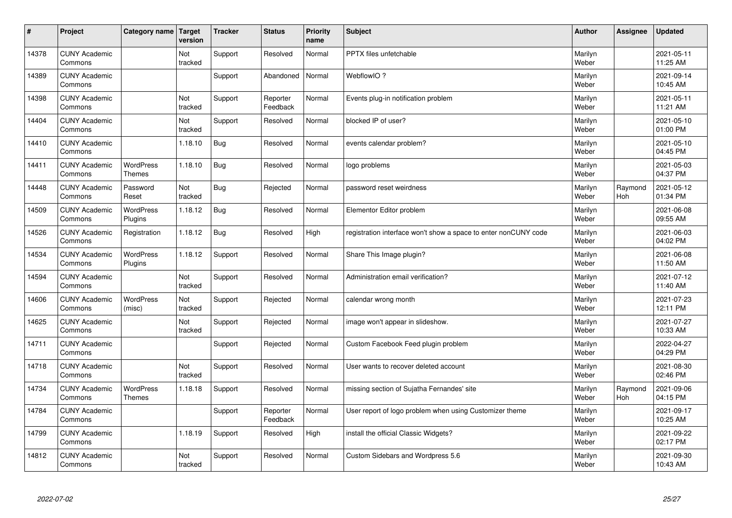| #     | Project                         | Category name   Target            | version        | <b>Tracker</b> | <b>Status</b>        | <b>Priority</b><br>name | <b>Subject</b>                                                  | <b>Author</b>    | Assignee       | <b>Updated</b>         |
|-------|---------------------------------|-----------------------------------|----------------|----------------|----------------------|-------------------------|-----------------------------------------------------------------|------------------|----------------|------------------------|
| 14378 | <b>CUNY Academic</b><br>Commons |                                   | Not<br>tracked | Support        | Resolved             | Normal                  | <b>PPTX</b> files unfetchable                                   | Marilyn<br>Weber |                | 2021-05-11<br>11:25 AM |
| 14389 | <b>CUNY Academic</b><br>Commons |                                   |                | Support        | Abandoned            | Normal                  | WebflowIO?                                                      | Marilyn<br>Weber |                | 2021-09-14<br>10:45 AM |
| 14398 | <b>CUNY Academic</b><br>Commons |                                   | Not<br>tracked | Support        | Reporter<br>Feedback | Normal                  | Events plug-in notification problem                             | Marilyn<br>Weber |                | 2021-05-11<br>11:21 AM |
| 14404 | <b>CUNY Academic</b><br>Commons |                                   | Not<br>tracked | Support        | Resolved             | Normal                  | blocked IP of user?                                             | Marilyn<br>Weber |                | 2021-05-10<br>01:00 PM |
| 14410 | <b>CUNY Academic</b><br>Commons |                                   | 1.18.10        | Bug            | Resolved             | Normal                  | events calendar problem?                                        | Marilyn<br>Weber |                | 2021-05-10<br>04:45 PM |
| 14411 | <b>CUNY Academic</b><br>Commons | <b>WordPress</b><br><b>Themes</b> | 1.18.10        | <b>Bug</b>     | Resolved             | Normal                  | logo problems                                                   | Marilyn<br>Weber |                | 2021-05-03<br>04:37 PM |
| 14448 | <b>CUNY Academic</b><br>Commons | Password<br>Reset                 | Not<br>tracked | <b>Bug</b>     | Rejected             | Normal                  | password reset weirdness                                        | Marilyn<br>Weber | Raymond<br>Hoh | 2021-05-12<br>01:34 PM |
| 14509 | <b>CUNY Academic</b><br>Commons | WordPress<br>Plugins              | 1.18.12        | <b>Bug</b>     | Resolved             | Normal                  | Elementor Editor problem                                        | Marilyn<br>Weber |                | 2021-06-08<br>09:55 AM |
| 14526 | <b>CUNY Academic</b><br>Commons | Registration                      | 1.18.12        | Bug            | Resolved             | High                    | registration interface won't show a space to enter nonCUNY code | Marilyn<br>Weber |                | 2021-06-03<br>04:02 PM |
| 14534 | <b>CUNY Academic</b><br>Commons | WordPress<br>Plugins              | 1.18.12        | Support        | Resolved             | Normal                  | Share This Image plugin?                                        | Marilyn<br>Weber |                | 2021-06-08<br>11:50 AM |
| 14594 | <b>CUNY Academic</b><br>Commons |                                   | Not<br>tracked | Support        | Resolved             | Normal                  | Administration email verification?                              | Marilyn<br>Weber |                | 2021-07-12<br>11:40 AM |
| 14606 | <b>CUNY Academic</b><br>Commons | WordPress<br>(misc)               | Not<br>tracked | Support        | Rejected             | Normal                  | calendar wrong month                                            | Marilyn<br>Weber |                | 2021-07-23<br>12:11 PM |
| 14625 | <b>CUNY Academic</b><br>Commons |                                   | Not<br>tracked | Support        | Rejected             | Normal                  | image won't appear in slideshow.                                | Marilyn<br>Weber |                | 2021-07-27<br>10:33 AM |
| 14711 | <b>CUNY Academic</b><br>Commons |                                   |                | Support        | Rejected             | Normal                  | Custom Facebook Feed plugin problem                             | Marilyn<br>Weber |                | 2022-04-27<br>04:29 PM |
| 14718 | <b>CUNY Academic</b><br>Commons |                                   | Not<br>tracked | Support        | Resolved             | Normal                  | User wants to recover deleted account                           | Marilyn<br>Weber |                | 2021-08-30<br>02:46 PM |
| 14734 | <b>CUNY Academic</b><br>Commons | <b>WordPress</b><br><b>Themes</b> | 1.18.18        | Support        | Resolved             | Normal                  | missing section of Sujatha Fernandes' site                      | Marilyn<br>Weber | Raymond<br>Hoh | 2021-09-06<br>04:15 PM |
| 14784 | <b>CUNY Academic</b><br>Commons |                                   |                | Support        | Reporter<br>Feedback | Normal                  | User report of logo problem when using Customizer theme         | Marilyn<br>Weber |                | 2021-09-17<br>10:25 AM |
| 14799 | <b>CUNY Academic</b><br>Commons |                                   | 1.18.19        | Support        | Resolved             | High                    | install the official Classic Widgets?                           | Marilyn<br>Weber |                | 2021-09-22<br>02:17 PM |
| 14812 | <b>CUNY Academic</b><br>Commons |                                   | Not<br>tracked | Support        | Resolved             | Normal                  | Custom Sidebars and Wordpress 5.6                               | Marilyn<br>Weber |                | 2021-09-30<br>10:43 AM |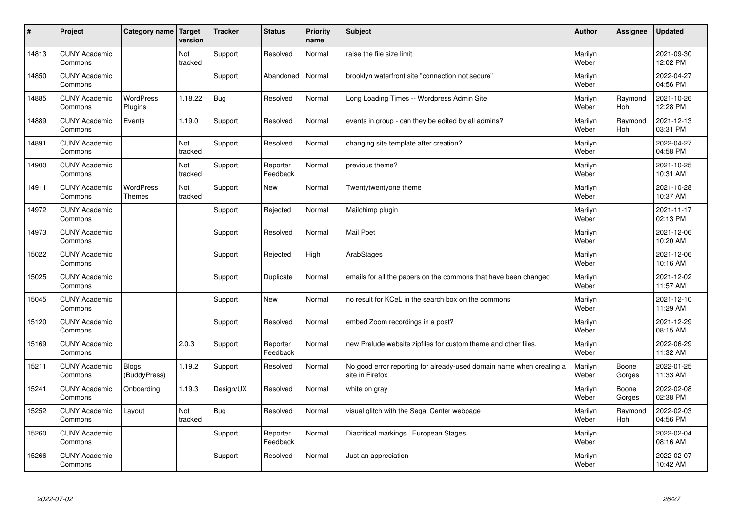| $\sharp$ | Project                         | Category name   Target            | version        | <b>Tracker</b> | <b>Status</b>        | <b>Priority</b><br>name | <b>Subject</b>                                                                          | <b>Author</b>    | Assignee              | <b>Updated</b>         |
|----------|---------------------------------|-----------------------------------|----------------|----------------|----------------------|-------------------------|-----------------------------------------------------------------------------------------|------------------|-----------------------|------------------------|
| 14813    | <b>CUNY Academic</b><br>Commons |                                   | Not<br>tracked | Support        | Resolved             | Normal                  | raise the file size limit                                                               | Marilyn<br>Weber |                       | 2021-09-30<br>12:02 PM |
| 14850    | <b>CUNY Academic</b><br>Commons |                                   |                | Support        | Abandoned            | Normal                  | brooklyn waterfront site "connection not secure"                                        | Marilyn<br>Weber |                       | 2022-04-27<br>04:56 PM |
| 14885    | <b>CUNY Academic</b><br>Commons | <b>WordPress</b><br>Plugins       | 1.18.22        | Bug            | Resolved             | Normal                  | Long Loading Times -- Wordpress Admin Site                                              | Marilyn<br>Weber | Raymond<br>Hoh        | 2021-10-26<br>12:28 PM |
| 14889    | <b>CUNY Academic</b><br>Commons | Events                            | 1.19.0         | Support        | Resolved             | Normal                  | events in group - can they be edited by all admins?                                     | Marilyn<br>Weber | Raymond<br>Hoh        | 2021-12-13<br>03:31 PM |
| 14891    | <b>CUNY Academic</b><br>Commons |                                   | Not<br>tracked | Support        | Resolved             | Normal                  | changing site template after creation?                                                  | Marilyn<br>Weber |                       | 2022-04-27<br>04:58 PM |
| 14900    | <b>CUNY Academic</b><br>Commons |                                   | Not<br>tracked | Support        | Reporter<br>Feedback | Normal                  | previous theme?                                                                         | Marilyn<br>Weber |                       | 2021-10-25<br>10:31 AM |
| 14911    | <b>CUNY Academic</b><br>Commons | <b>WordPress</b><br><b>Themes</b> | Not<br>tracked | Support        | <b>New</b>           | Normal                  | Twentytwentyone theme                                                                   | Marilyn<br>Weber |                       | 2021-10-28<br>10:37 AM |
| 14972    | <b>CUNY Academic</b><br>Commons |                                   |                | Support        | Rejected             | Normal                  | Mailchimp plugin                                                                        | Marilyn<br>Weber |                       | 2021-11-17<br>02:13 PM |
| 14973    | <b>CUNY Academic</b><br>Commons |                                   |                | Support        | Resolved             | Normal                  | <b>Mail Poet</b>                                                                        | Marilyn<br>Weber |                       | 2021-12-06<br>10:20 AM |
| 15022    | <b>CUNY Academic</b><br>Commons |                                   |                | Support        | Rejected             | High                    | ArabStages                                                                              | Marilyn<br>Weber |                       | 2021-12-06<br>10:16 AM |
| 15025    | <b>CUNY Academic</b><br>Commons |                                   |                | Support        | Duplicate            | Normal                  | emails for all the papers on the commons that have been changed                         | Marilyn<br>Weber |                       | 2021-12-02<br>11:57 AM |
| 15045    | <b>CUNY Academic</b><br>Commons |                                   |                | Support        | New                  | Normal                  | no result for KCeL in the search box on the commons                                     | Marilyn<br>Weber |                       | 2021-12-10<br>11:29 AM |
| 15120    | <b>CUNY Academic</b><br>Commons |                                   |                | Support        | Resolved             | Normal                  | embed Zoom recordings in a post?                                                        | Marilyn<br>Weber |                       | 2021-12-29<br>08:15 AM |
| 15169    | <b>CUNY Academic</b><br>Commons |                                   | 2.0.3          | Support        | Reporter<br>Feedback | Normal                  | new Prelude website zipfiles for custom theme and other files.                          | Marilyn<br>Weber |                       | 2022-06-29<br>11:32 AM |
| 15211    | <b>CUNY Academic</b><br>Commons | <b>Blogs</b><br>(BuddyPress)      | 1.19.2         | Support        | Resolved             | Normal                  | No good error reporting for already-used domain name when creating a<br>site in Firefox | Marilyn<br>Weber | Boone<br>Gorges       | 2022-01-25<br>11:33 AM |
| 15241    | <b>CUNY Academic</b><br>Commons | Onboarding                        | 1.19.3         | Design/UX      | Resolved             | Normal                  | white on gray                                                                           | Marilyn<br>Weber | Boone<br>Gorges       | 2022-02-08<br>02:38 PM |
| 15252    | <b>CUNY Academic</b><br>Commons | Layout                            | Not<br>tracked | Bug            | Resolved             | Normal                  | visual glitch with the Segal Center webpage                                             | Marilyn<br>Weber | Raymond<br><b>Hoh</b> | 2022-02-03<br>04:56 PM |
| 15260    | <b>CUNY Academic</b><br>Commons |                                   |                | Support        | Reporter<br>Feedback | Normal                  | Diacritical markings   European Stages                                                  | Marilyn<br>Weber |                       | 2022-02-04<br>08:16 AM |
| 15266    | <b>CUNY Academic</b><br>Commons |                                   |                | Support        | Resolved             | Normal                  | Just an appreciation                                                                    | Marilyn<br>Weber |                       | 2022-02-07<br>10:42 AM |